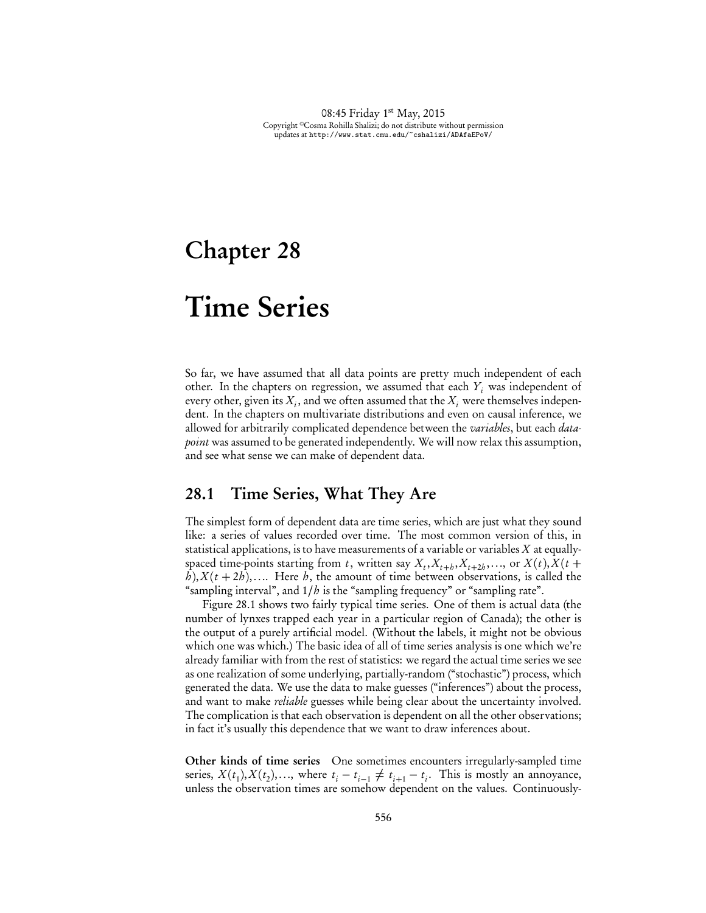# Chapter 28

# Time Series

So far, we have assumed that all data points are pretty much independent of each other. In the chapters on regression, we assumed that each  $Y_i$  was independent of every other, given its  $X_i$ , and we often assumed that the  $X_i$  were themselves independent. In the chapters on multivariate distributions and even on causal inference, we allowed for arbitrarily complicated dependence between the *variables*, but each *datapoint* was assumed to be generated independently. We will now relax this assumption, and see what sense we can make of dependent data.

# 28.1 Time Series, What They Are

The simplest form of dependent data are time series, which are just what they sound like: a series of values recorded over time. The most common version of this, in statistical applications, is to have measurements of a variable or variables *X* at equallyspaced time-points starting from *t*, written say  $X_t, X_{t+h}, X_{t+2h}, \ldots$ , or  $X(t), X(t+1)$  $h$ ),  $X(t + 2h)$ ,.... Here *h*, the amount of time between observations, is called the "sampling interval", and 1*/h* is the "sampling frequency" or "sampling rate".

Figure 28.1 shows two fairly typical time series. One of them is actual data (the number of lynxes trapped each year in a particular region of Canada); the other is the output of a purely artificial model. (Without the labels, it might not be obvious which one was which.) The basic idea of all of time series analysis is one which we're already familiar with from the rest of statistics: we regard the actual time series we see as one realization of some underlying, partially-random ("stochastic") process, which generated the data. We use the data to make guesses ("inferences") about the process, and want to make *reliable* guesses while being clear about the uncertainty involved. The complication is that each observation is dependent on all the other observations; in fact it's usually this dependence that we want to draw inferences about.

Other kinds of time series One sometimes encounters irregularly-sampled time series,  $X(t_1), X(t_2), \ldots$ , where  $t_i - t_{i-1} \neq t_{i+1} - t_i$ . This is mostly an annoyance, unless the observation times are somehow dependent on the values. Continuously-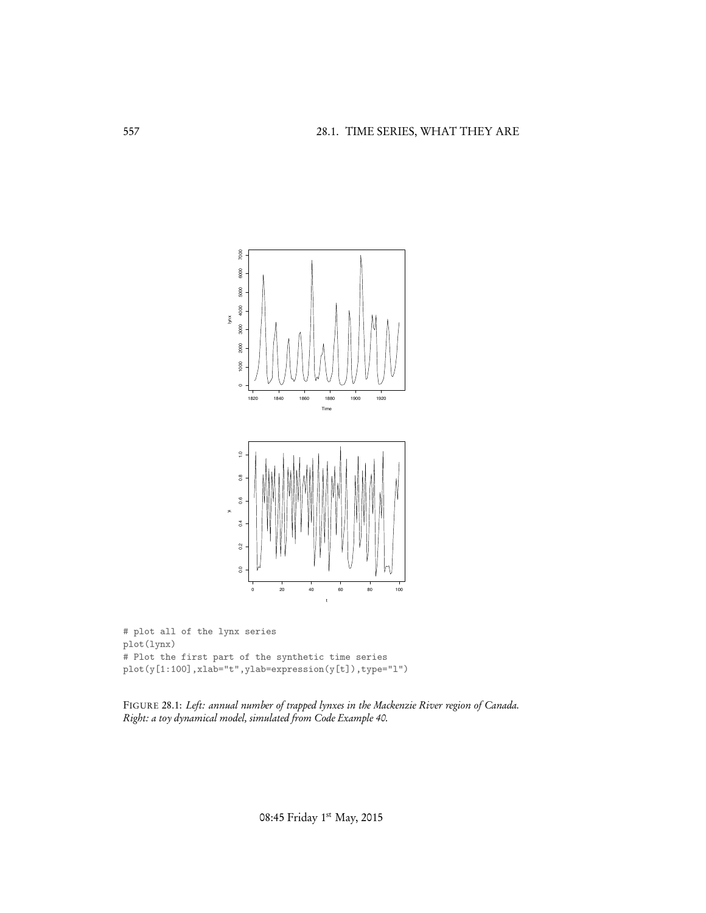

```
# plot all of the lynx series
plot(lynx)
# Plot the first part of the synthetic time series
plot(y[1:100],xlab="t",ylab=expression(y[t]),type="l")
```
FIGURE 28.1: *Left: annual number of trapped lynxes in the Mackenzie River region of Canada. Right: a toy dynamical model, simulated from Code Example 40.*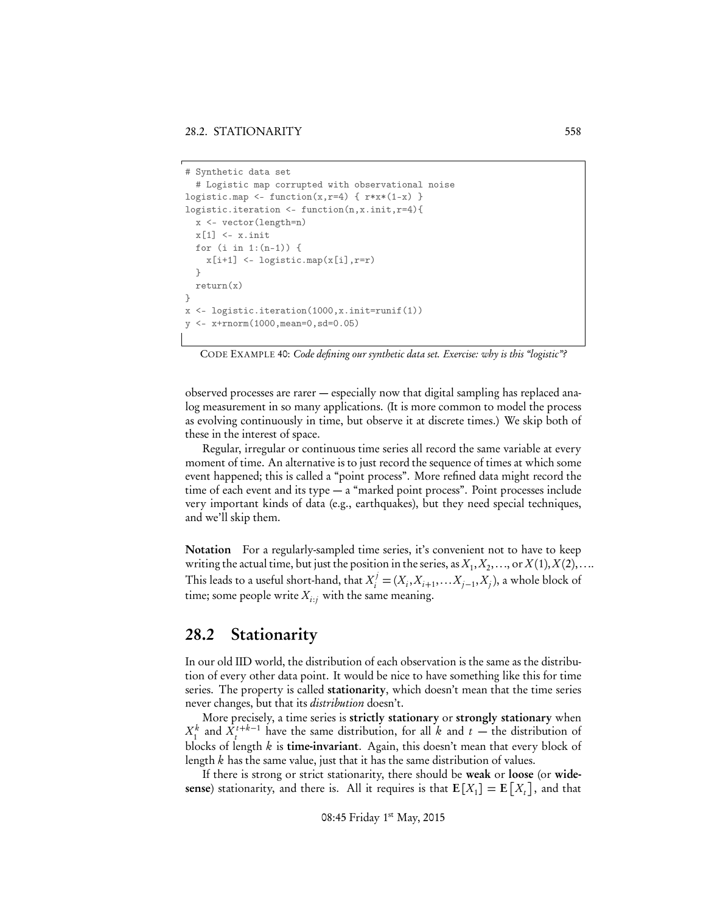```
# Synthetic data set
  # Logistic map corrupted with observational noise
logistic.map <- function(x,r=4) { r*x*(1-x) }
logistic.iteration <- function(n,x.init,r=4){
  x <- vector(length=n)
  x[1] <- x.initfor (i in 1:(n-1)) {
    x[i+1] <- logistic.map(x[i], r=r)
  }
  return(x)
}
x <- logistic.iteration(1000,x.init=runif(1))
  y <- x+rnorm(1000,mean=0,sd=0.05)
```
CODE EXAMPLE 40: *Code defining our synthetic data set. Exercise: why is this "logistic"?*

observed processes are rarer — especially now that digital sampling has replaced analog measurement in so many applications. (It is more common to model the process as evolving continuously in time, but observe it at discrete times.) We skip both of these in the interest of space.

Regular, irregular or continuous time series all record the same variable at every moment of time. An alternative is to just record the sequence of times at which some event happened; this is called a "point process". More refined data might record the time of each event and its type — a "marked point process". Point processes include very important kinds of data (e.g., earthquakes), but they need special techniques, and we'll skip them.

Notation For a regularly-sampled time series, it's convenient not to have to keep writing the actual time, but just the position in the series, as  $X_1, X_2, \ldots$ , or  $X(1), X(2), \ldots$ This leads to a useful short-hand, that  $X_i^j = (X_i, X_{i+1}, \ldots, X_{j-1}, X_j)$ , a whole block of time; some people write  $X_{i:j}$  with the same meaning.

# 28.2 Stationarity

In our old IID world, the distribution of each observation is the same as the distribution of every other data point. It would be nice to have something like this for time series. The property is called stationarity, which doesn't mean that the time series never changes, but that its *distribution* doesn't.

More precisely, a time series is strictly stationary or strongly stationary when  $X_1^k$  and  $X_1^{t+k-1}$  have the same distribution, for all *k* and *t* — the distribution of blocks of length *k* is time-invariant. Again, this doesn't mean that every block of length *k* has the same value, just that it has the same distribution of values.

If there is strong or strict stationarity, there should be weak or loose (or widesense) stationarity, and there is. All it requires is that  $E[X_1] = E[X_t]$ , and that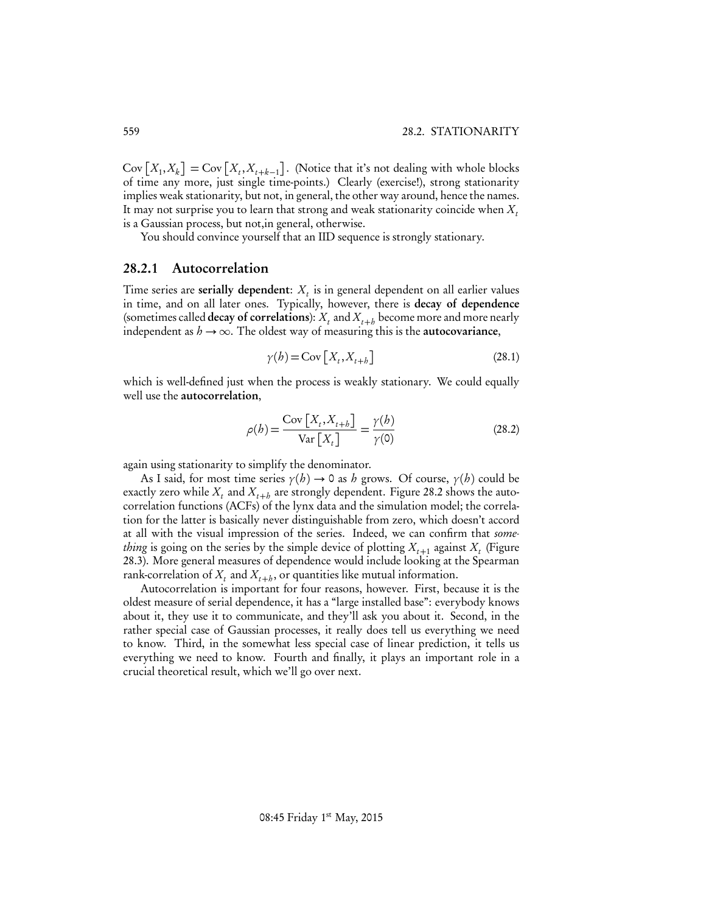$Cov\left[X_1, X_k\right] = Cov\left[X_t, X_{t+k-1}\right]$ . (Notice that it's not dealing with whole blocks of time any more, just single time-points.) Clearly (exercise!), strong stationarity implies weak stationarity, but not, in general, the other way around, hence the names. It may not surprise you to learn that strong and weak stationarity coincide when  $X_t$ is a Gaussian process, but not,in general, otherwise.

You should convince yourself that an IID sequence is strongly stationary.

#### 28.2.1 Autocorrelation

Time series are serially dependent:  $X_t$  is in general dependent on all earlier values in time, and on all later ones. Typically, however, there is decay of dependence (sometimes called **decay of correlations**):  $X_t$  and  $X_{t+h}$  become more and more nearly independent as  $h \rightarrow \infty$ . The oldest way of measuring this is the **autocovariance**,

$$
\gamma(h) = \text{Cov}\left[X_t, X_{t+h}\right] \tag{28.1}
$$

which is well-defined just when the process is weakly stationary. We could equally well use the autocorrelation,

$$
\rho(b) = \frac{\text{Cov}\left[X_t, X_{t+b}\right]}{\text{Var}\left[X_t\right]} = \frac{\gamma(b)}{\gamma(0)}\tag{28.2}
$$

again using stationarity to simplify the denominator.

As I said, for most time series  $\gamma(h) \to 0$  as *h* grows. Of course,  $\gamma(h)$  could be exactly zero while  $X_t$  and  $X_{t+h}$  are strongly dependent. Figure 28.2 shows the autocorrelation functions (ACFs) of the lynx data and the simulation model; the correlation for the latter is basically never distinguishable from zero, which doesn't accord at all with the visual impression of the series. Indeed, we can confirm that *something* is going on the series by the simple device of plotting  $X_{t+1}$  against  $X_t$  (Figure 28.3). More general measures of dependence would include looking at the Spearman rank-correlation of  $X_t$  and  $X_{t+h}$ , or quantities like mutual information.

Autocorrelation is important for four reasons, however. First, because it is the oldest measure of serial dependence, it has a "large installed base": everybody knows about it, they use it to communicate, and they'll ask you about it. Second, in the rather special case of Gaussian processes, it really does tell us everything we need to know. Third, in the somewhat less special case of linear prediction, it tells us everything we need to know. Fourth and finally, it plays an important role in a crucial theoretical result, which we'll go over next.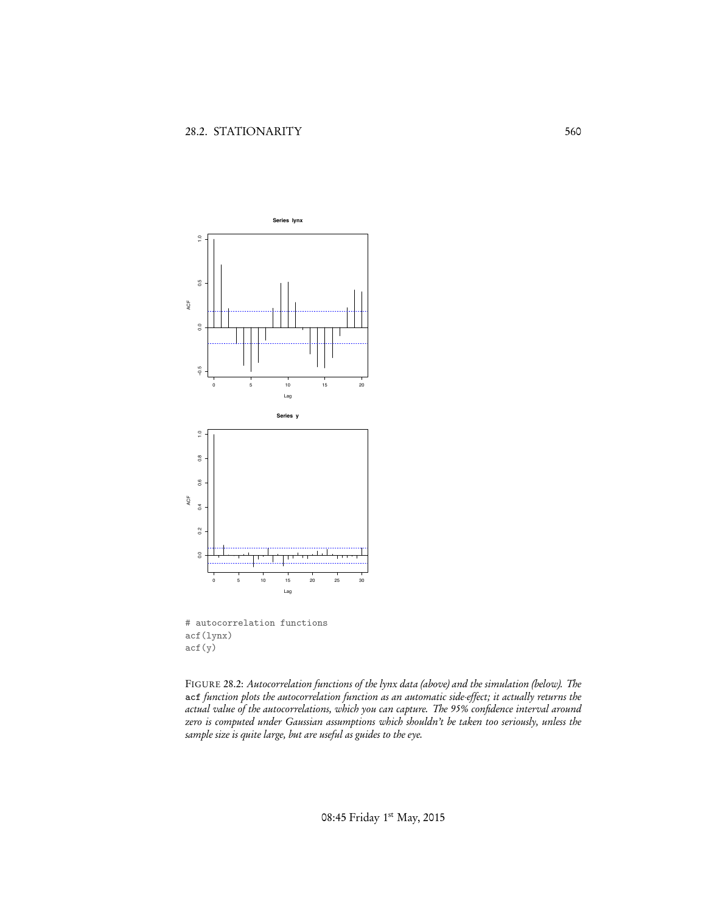

# autocorrelation functions acf(lynx) acf(y)

FIGURE 28.2: *Autocorrelation functions of the lynx data (above) and the simulation (below). The* acf *function plots the autocorrelation function as an automatic side-effect; it actually returns the actual value of the autocorrelations, which you can capture. The 95% confidence interval around zero is computed under Gaussian assumptions which shouldn't be taken too seriously, unless the sample size is quite large, but are useful as guides to the eye.*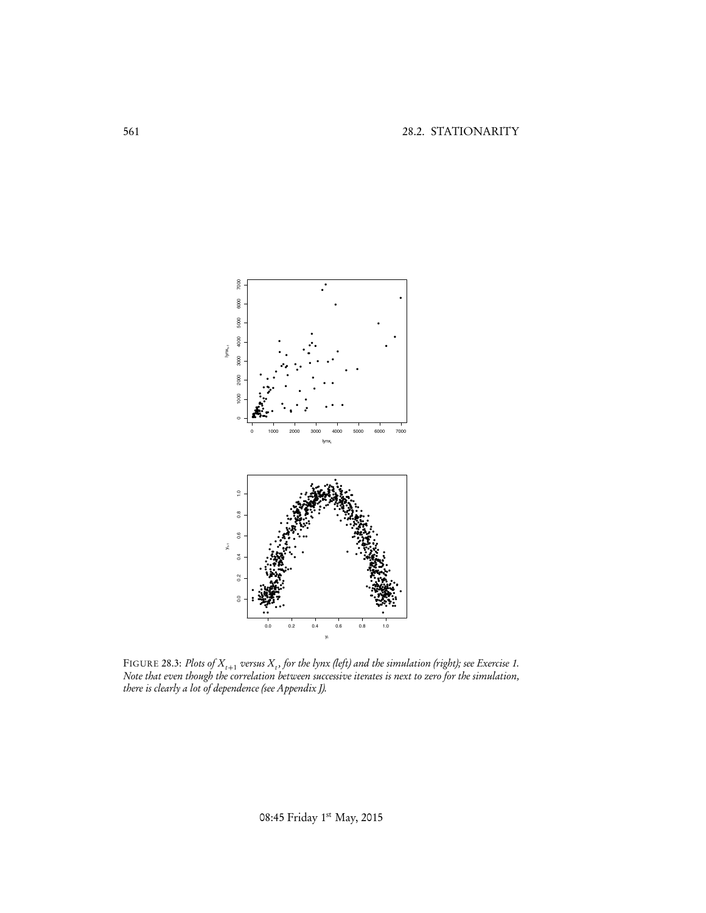

FIGURE 28.3: Plots of  $X_{t+1}$  versus  $X_t$ , for the lynx (left) and the simulation (right); see Exercise 1.<br>Note that even though the correlation between successive iterates is next to zero for the simulation, there is cl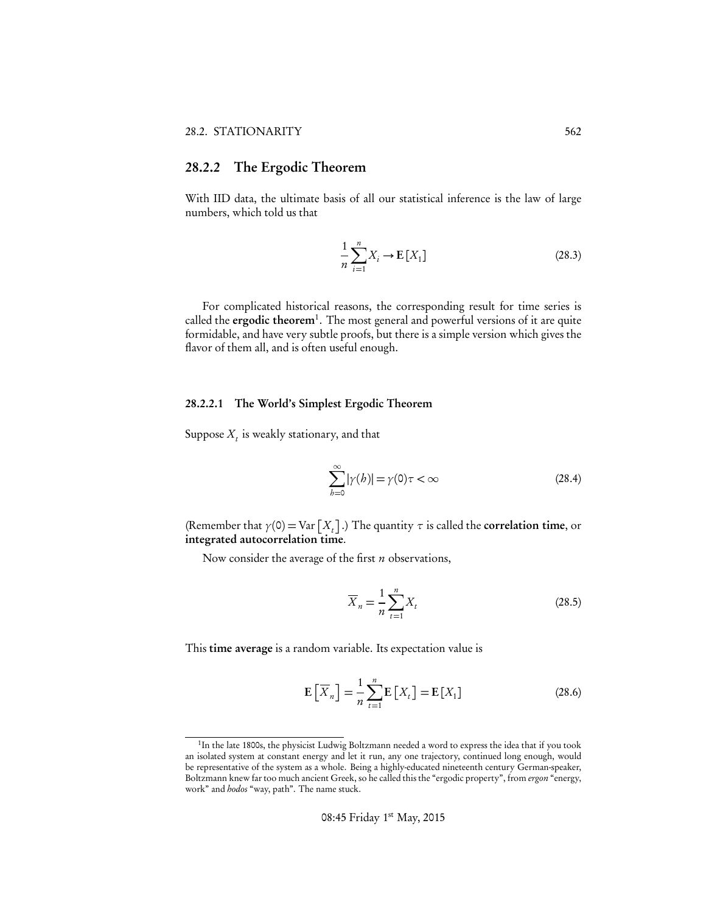## 28.2.2 The Ergodic Theorem

With IID data, the ultimate basis of all our statistical inference is the law of large numbers, which told us that

$$
\frac{1}{n}\sum_{i=1}^{n}X_{i}\rightarrow\mathbf{E}\left[X_{1}\right]
$$
\n(28.3)

For complicated historical reasons, the corresponding result for time series is called the ergodic theorem<sup>1</sup>. The most general and powerful versions of it are quite formidable, and have very subtle proofs, but there is a simple version which gives the flavor of them all, and is often useful enough.

#### 28.2.2.1 The World's Simplest Ergodic Theorem

Suppose  $X_t$  is weakly stationary, and that

$$
\sum_{b=0}^{\infty} |\gamma(b)| = \gamma(0)\tau < \infty \tag{28.4}
$$

(Remember that  $\gamma$ (0) = Var  $\left[X_t\right]$ .) The quantity  $\tau$  is called the **correlation time**, or integrated autocorrelation time.

Now consider the average of the first *n* observations,

$$
\overline{X}_n = \frac{1}{n} \sum_{t=1}^n X_t
$$
\n(28.5)

This time average is a random variable. Its expectation value is

$$
\mathbf{E}\left[\overline{X}_n\right] = \frac{1}{n} \sum_{t=1}^n \mathbf{E}\left[X_t\right] = \mathbf{E}\left[X_1\right] \tag{28.6}
$$

<sup>&</sup>lt;sup>1</sup>In the late 1800s, the physicist Ludwig Boltzmann needed a word to express the idea that if you took an isolated system at constant energy and let it run, any one trajectory, continued long enough, would be representative of the system as a whole. Being a highly-educated nineteenth century German-speaker, Boltzmann knew far too much ancient Greek, so he called this the "ergodic property", from *ergon* "energy, work" and *hodos* "way, path". The name stuck.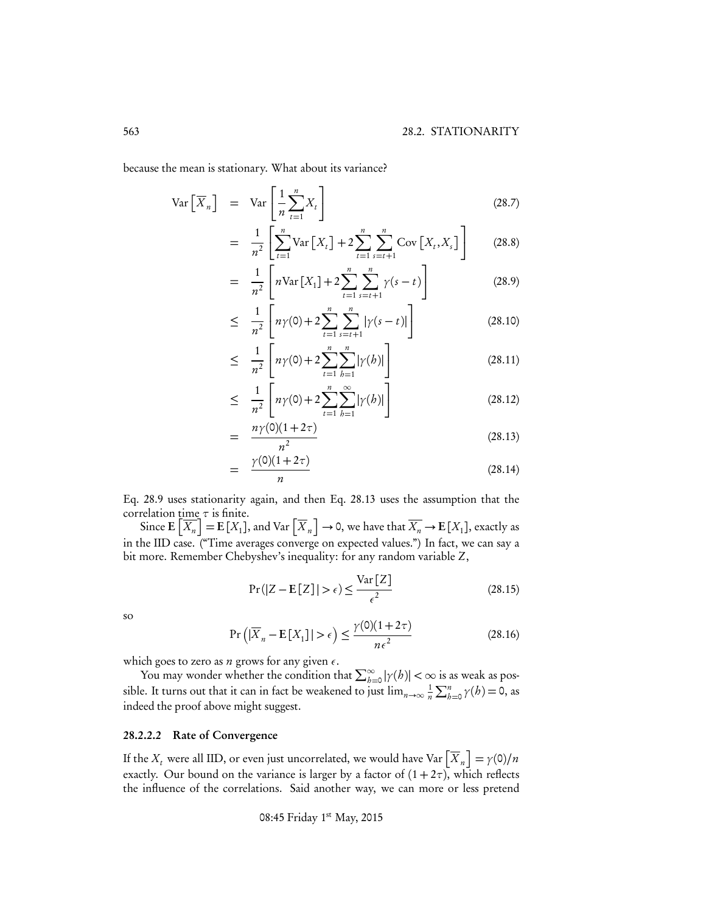because the mean is stationary. What about its variance?

$$
\operatorname{Var}\left[\overline{X}_n\right] = \operatorname{Var}\left[\frac{1}{n}\sum_{t=1}^n X_t\right] \tag{28.7}
$$

$$
= \frac{1}{n^2} \left[ \sum_{t=1}^{n} \text{Var}\left[X_t\right] + 2 \sum_{t=1}^{n} \sum_{s=t+1}^{n} \text{Cov}\left[X_t, X_s\right] \right] \tag{28.8}
$$

$$
= \frac{1}{n^2} \left[ n \text{Var}\left[X_1\right] + 2 \sum_{t=1}^n \sum_{s=t+1}^n \gamma(s-t) \right] \tag{28.9}
$$

$$
\leq \frac{1}{n^2} \left[ n\gamma(0) + 2 \sum_{t=1}^n \sum_{s=t+1}^n |\gamma(s-t)| \right] \tag{28.10}
$$

$$
\leq \frac{1}{n^2} \left[ n\gamma(0) + 2 \sum_{t=1}^n \sum_{b=1}^n |\gamma(b)| \right] \tag{28.11}
$$

$$
\leq \frac{1}{n^2} \left[ n\gamma(0) + 2 \sum_{t=1}^n \sum_{b=1}^\infty |\gamma(b)| \right] \tag{28.12}
$$

$$
= \frac{n\gamma(0)(1+2\tau)}{n^2} \tag{28.13}
$$

$$
= \frac{\gamma(0)(1+2\tau)}{n}
$$
 (28.14)

Eq. 28.9 uses stationarity again, and then Eq. 28.13 uses the assumption that the correlation  $\underline{\text{time}} \tau$  is finite.

Since  $\mathbf{E}\left[\overline{X_n}\right] = \mathbf{E}\left[X_1\right]$ , and Var  $\left[\overline{X}_n\right] \to 0$ , we have that  $\overline{X_n} \to \mathbf{E}\left[X_1\right]$ , exactly as in the IID case. ("Time averages converge on expected values.") In fact, we can say a bit more. Remember Chebyshev's inequality: for any random variable *Z*,

$$
\Pr(|Z - \mathbf{E}[Z]| > \epsilon) \le \frac{\text{Var}[Z]}{\epsilon^2} \tag{28.15}
$$

so

$$
\Pr\left(|\overline{X}_n - \mathbf{E}[X_1]| > \epsilon\right) \le \frac{\gamma(0)(1+2\tau)}{n\epsilon^2} \tag{28.16}
$$

which goes to zero as  $n$  grows for any given  $\epsilon$ .

You may wonder whether the condition that  $\sum_{b=0}^{\infty} |\gamma(b)| < \infty$  is as weak as possible. It turns out that it can in fact be weakened to just  $\lim_{n\to\infty} \frac{1}{n}$  $\frac{1}{n} \sum_{b=0}^{n} \gamma(b) = 0$ , as indeed the proof above might suggest.

#### 28.2.2.2 Rate of Convergence

If the  $X_t$  were all IID, or even just uncorrelated, we would have Var  $\left[\overline{X}_n\right] = \gamma(0)/n$ exactly. Our bound on the variance is larger by a factor of  $(1 + 2\tau)$ , which reflects the influence of the correlations. Said another way, we can more or less pretend

08:45 Friday 1st May, 2015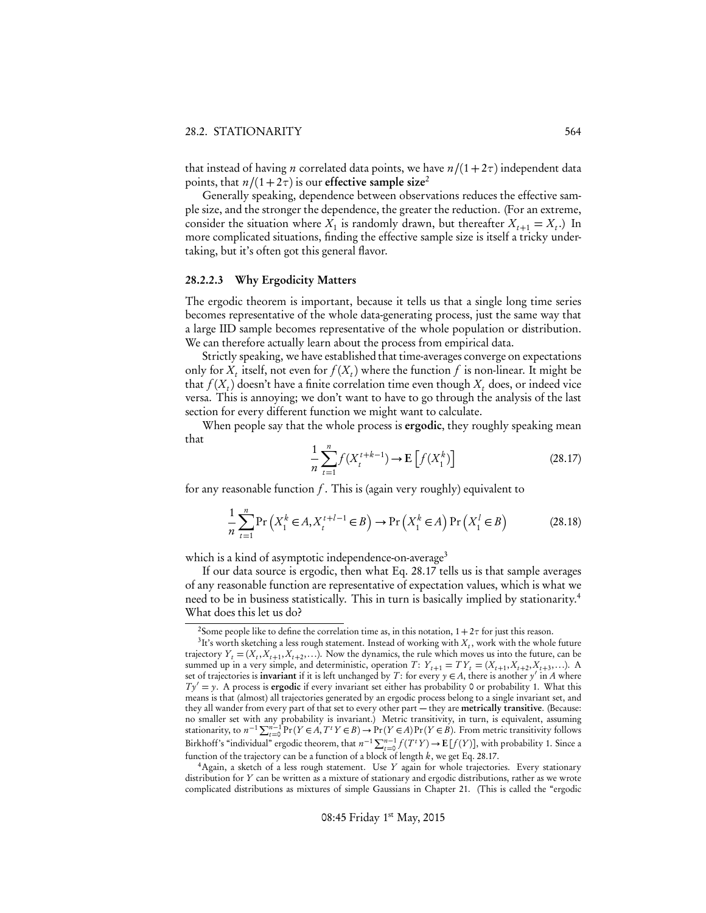that instead of having *n* correlated data points, we have  $n/(1+2\tau)$  independent data points, that  $n/(1+2\tau)$  is our effective sample size<sup>2</sup>

Generally speaking, dependence between observations reduces the effective sample size, and the stronger the dependence, the greater the reduction. (For an extreme, consider the situation where  $X_1$  is randomly drawn, but thereafter  $X_{t+1} = X_t$ .) In more complicated situations, finding the effective sample size is itself a tricky undertaking, but it's often got this general flavor.

#### 28.2.2.3 Why Ergodicity Matters

The ergodic theorem is important, because it tells us that a single long time series becomes representative of the whole data-generating process, just the same way that a large IID sample becomes representative of the whole population or distribution. We can therefore actually learn about the process from empirical data.

Strictly speaking, we have established that time-averages converge on expectations only for  $X_t$  itself, not even for  $f(X_t)$  where the function f is non-linear. It might be that  $f(X_t)$  doesn't have a finite correlation time even though  $X_t$  does, or indeed vice versa. This is annoying; we don't want to have to go through the analysis of the last section for every different function we might want to calculate.

When people say that the whole process is **ergodic**, they roughly speaking mean that

$$
\frac{1}{n}\sum_{t=1}^{n} f(X_t^{t+k-1}) \to \mathbb{E}\left[f(X_1^k)\right]
$$
\n(28.17)

for any reasonable function *f* . This is (again very roughly) equivalent to

$$
\frac{1}{n}\sum_{t=1}^{n}\Pr\left(X_{1}^{k}\in A, X_{t}^{t+l-1}\in B\right)\to\Pr\left(X_{1}^{k}\in A\right)\Pr\left(X_{1}^{l}\in B\right)
$$
\n(28.18)

which is a kind of asymptotic independence-on-average<sup>3</sup>

If our data source is ergodic, then what Eq. 28.17 tells us is that sample averages of any reasonable function are representative of expectation values, which is what we need to be in business statistically. This in turn is basically implied by stationarity.<sup>4</sup> What does this let us do?

4Again, a sketch of a less rough statement. Use *Y* again for whole trajectories. Every stationary distribution for *Y* can be written as a mixture of stationary and ergodic distributions, rather as we wrote complicated distributions as mixtures of simple Gaussians in Chapter 21. (This is called the "ergodic

<sup>&</sup>lt;sup>2</sup>Some people like to define the correlation time as, in this notation,  $1 + 2\tau$  for just this reason. <sup>3</sup>It's worth sketching a less rough statement. Instead of working with *X<sub>t</sub>*, work with the whole future trajectory  $Y_t = (X_t, X_{t+1}, X_{t+2}, \ldots)$ . Now the dynamics, the rule which moves us into the future, can be summed up in a very simple, and deterministic, operation *T*:  $Y_{t+1} = TY_t = (X_{t+1}, X_{t+2}, X_{t+3}, \ldots)$ . A set of trajectories is **invariant** if it is left unchanged by *T*: for every  $y \in A$ , there is another  $y'$  in *A* where  $Ty' = y$ . A process is **ergodic** if every invariant set either has probability 0 or probability 1. What this means is that (almost) all trajectories generated by an ergodic process belong to a single invariant set, and they all wander from every part of that set to every other part — they are metrically transitive. (Because: no smaller set with any probability is invariant.) Metric transitivity, in turn, is equivalent, assuming<br>stationarity, to  $n^{-1} \sum_{t=0}^{n-1} Pr(Y \in A, T^t Y \in B) \rightarrow Pr(Y \in A)Pr(Y \in B)$ . From metric transitivity follows Birkhoff's "individual" ergodic theorem, that  $n^{-1} \sum_{t=0}^{n-1} f(T^t Y) \rightarrow E[f(Y)]$ , with probability 1. Since a function of the trajectory can be a function of a block of length *k*, we get Eq. 28.17.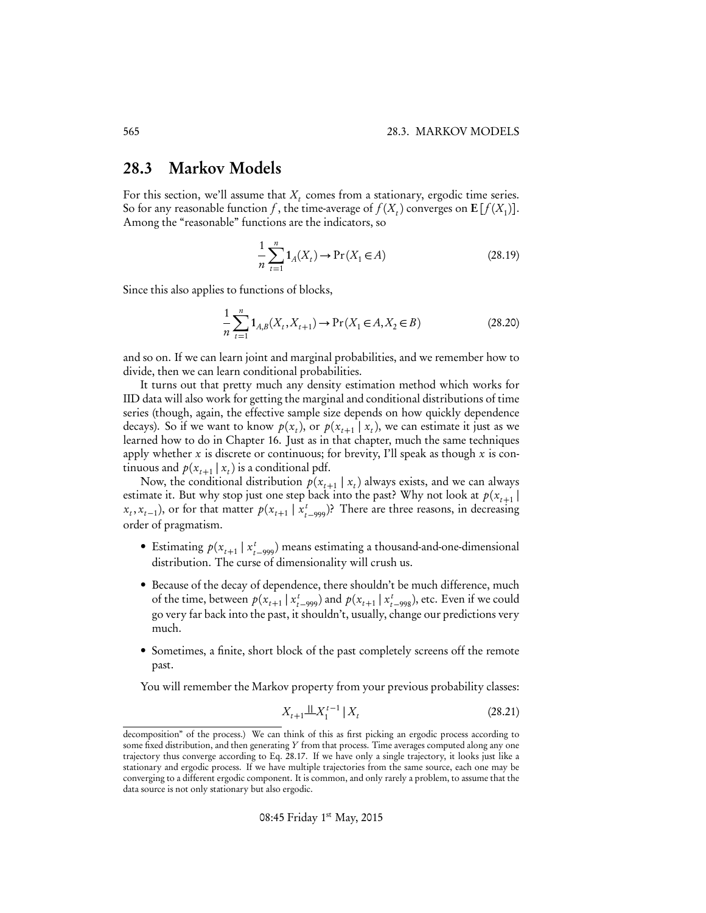# 28.3 Markov Models

For this section, we'll assume that  $X_t$  comes from a stationary, ergodic time series. So for any reasonable function *f*, the time-average of  $f(X_t)$  converges on  $E[f(X_1)]$ . Among the "reasonable" functions are the indicators, so

$$
\frac{1}{n}\sum_{t=1}^{n}1_{A}(X_{t}) \to \Pr(X_{1} \in A)
$$
\n(28.19)

Since this also applies to functions of blocks,

$$
\frac{1}{n}\sum_{t=1}^{n}1_{A,B}(X_{t},X_{t+1}) \to \Pr(X_{1} \in A, X_{2} \in B)
$$
\n(28.20)

and so on. If we can learn joint and marginal probabilities, and we remember how to divide, then we can learn conditional probabilities.

It turns out that pretty much any density estimation method which works for IID data will also work for getting the marginal and conditional distributions of time series (though, again, the effective sample size depends on how quickly dependence decays). So if we want to know  $p(x_t)$ , or  $p(x_{t+1} | x_t)$ , we can estimate it just as we learned how to do in Chapter 16. Just as in that chapter, much the same techniques apply whether *x* is discrete or continuous; for brevity, I'll speak as though *x* is continuous and  $p(x_{t+1} | x_t)$  is a conditional pdf.

Now, the conditional distribution  $p(x_{t+1} | x_t)$  always exists, and we can always estimate it. But why stop just one step back into the past? Why not look at  $p(x_{t+1} |$  $(x_t, x_{t-1})$ , or for that matter  $p(x_{t+1} | x_{t-999}^t)$ ? There are three reasons, in decreasing order of pragmatism.

- Estimating  $p(x_{t+1} | x_{t-999}^t)$  means estimating a thousand-and-one-dimensional distribution. The curse of dimensionality will crush us.
- Because of the decay of dependence, there shouldn't be much difference, much of the time, between  $p(x_{t+1} | x_{t-999}^t)$  and  $p(x_{t+1} | x_{t-998}^t)$ , etc. Even if we could go very far back into the past, it shouldn't, usually, change our predictions very much.
- Sometimes, a finite, short block of the past completely screens off the remote past.

You will remember the Markov property from your previous probability classes:

$$
X_{t+1} \perp \perp X_1^{t-1} \mid X_t \tag{28.21}
$$

decomposition" of the process.) We can think of this as first picking an ergodic process according to some fixed distribution, and then generating *Y* from that process. Time averages computed along any one trajectory thus converge according to Eq. 28.17. If we have only a single trajectory, it looks just like a stationary and ergodic process. If we have multiple trajectories from the same source, each one may be converging to a different ergodic component. It is common, and only rarely a problem, to assume that the data source is not only stationary but also ergodic.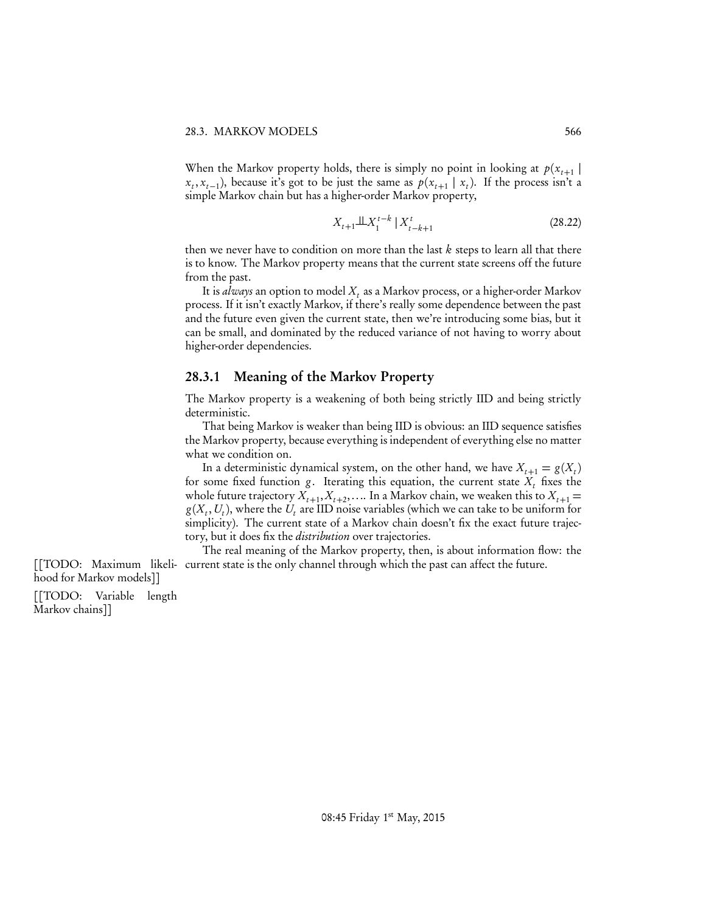When the Markov property holds, there is simply no point in looking at  $p(x_{t+1} |$  $x_t$ ,  $x_{t-1}$ ), because it's got to be just the same as  $p(x_{t+1} | x_t)$ . If the process isn't a simple Markov chain but has a higher-order Markov property,

$$
X_{t+1} \perp \perp X_1^{t-k} \mid X_{t-k+1}^t \tag{28.22}
$$

then we never have to condition on more than the last *k* steps to learn all that there is to know. The Markov property means that the current state screens off the future from the past.

It is *always* an option to model  $X_t$  as a Markov process, or a higher-order Markov process. If it isn't exactly Markov, if there's really some dependence between the past and the future even given the current state, then we're introducing some bias, but it can be small, and dominated by the reduced variance of not having to worry about higher-order dependencies.

## 28.3.1 Meaning of the Markov Property

The Markov property is a weakening of both being strictly IID and being strictly deterministic.

That being Markov is weaker than being IID is obvious: an IID sequence satisfies the Markov property, because everything is independent of everything else no matter what we condition on.

In a deterministic dynamical system, on the other hand, we have  $X_{t+1} = g(X_t)$ for some fixed function *g*. Iterating this equation, the current state  $X_t$  fixes the whole future trajectory  $X_{t+1}$ ,  $X_{t+2}$ ,.... In a Markov chain, we weaken this to  $X_{t+1}$  =  $g(X_t, U_t)$ , where the  $U_t$  are IID noise variables (which we can take to be uniform for simplicity). The current state of a Markov chain doesn't fix the exact future trajectory, but it does fix the *distribution* over trajectories.

The real meaning of the Markov property, then, is about information flow: the [[TODO: Maximum likeli- current state is the only channel through which the past can affect the future.

[[TODO: Variable length Markov chains]]

hood for Markov models]]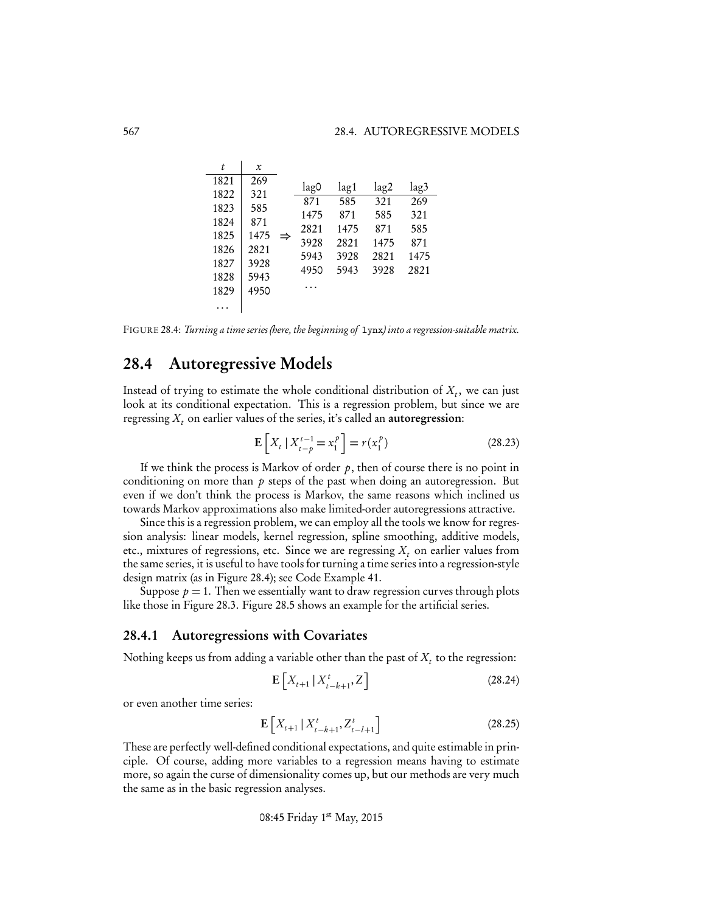| t            | x            |   |              |              |            |            |
|--------------|--------------|---|--------------|--------------|------------|------------|
| 1821         | 269          |   | lag0         | lag1         | lag2       | lag3       |
| 1822<br>1823 | 321<br>585   |   | 871          | 585          | 321        | 269        |
| 1824         | 871          |   | 1475         | 871          | 585<br>871 | 321        |
| 1825         | 1475         | ⇒ | 2821<br>3928 | 1475<br>2821 | 1475       | 585<br>871 |
| 1826<br>1827 | 2821<br>3928 |   | 5943         | 3928         | 2821       | 1475       |
| 1828         | 5943         |   | 4950         | 5943         | 3928       | 2821       |
| 1829         | 4950         |   |              |              |            |            |
|              |              |   |              |              |            |            |

FIGURE 28.4: *Turning a time series (here, the beginning of* lynx*) into a regression-suitable matrix.*

# 28.4 Autoregressive Models

Instead of trying to estimate the whole conditional distribution of  $X_t$ , we can just look at its conditional expectation. This is a regression problem, but since we are regressing  $X_t$  on earlier values of the series, it's called an **autoregression**:

$$
\mathbf{E}\left[X_t \mid X_{t-p}^{t-1} = x_1^p\right] = r(x_1^p) \tag{28.23}
$$

If we think the process is Markov of order  $p$ , then of course there is no point in conditioning on more than *p* steps of the past when doing an autoregression. But even if we don't think the process is Markov, the same reasons which inclined us towards Markov approximations also make limited-order autoregressions attractive.

Since this is a regression problem, we can employ all the tools we know for regression analysis: linear models, kernel regression, spline smoothing, additive models, etc., mixtures of regressions, etc. Since we are regressing  $X_t$  on earlier values from the same series, it is useful to have tools for turning a time series into a regression-style design matrix (as in Figure 28.4); see Code Example 41.

Suppose  $p = 1$ . Then we essentially want to draw regression curves through plots like those in Figure 28.3. Figure 28.5 shows an example for the artificial series.

#### 28.4.1 Autoregressions with Covariates

Nothing keeps us from adding a variable other than the past of  $X_t$  to the regression:

$$
\mathbf{E}\left[X_{t+1} \,|\, X_{t-k+1}^t, Z\right] \tag{28.24}
$$

or even another time series:

$$
\mathbf{E}\left[X_{t+1} \,|\, X_{t-k+1}^t, Z_{t-l+1}^t\right] \tag{28.25}
$$

These are perfectly well-defined conditional expectations, and quite estimable in principle. Of course, adding more variables to a regression means having to estimate more, so again the curse of dimensionality comes up, but our methods are very much the same as in the basic regression analyses.

08:45 Friday 1st May, 2015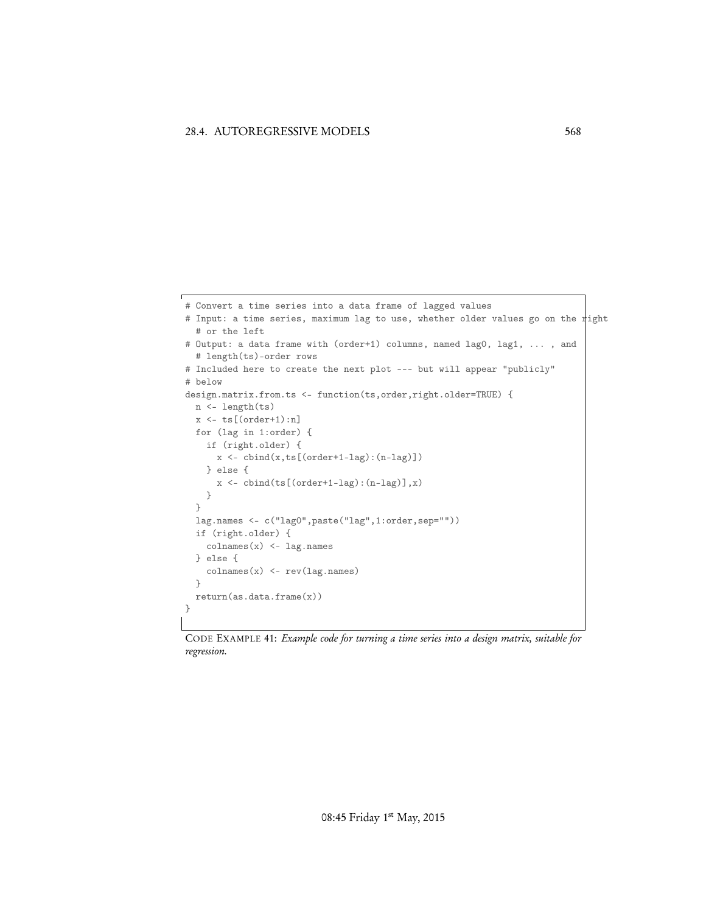```
# Convert a time series into a data frame of lagged values
# Input: a time series, maximum lag to use, whether older values go on the right
  # or the left
# Output: a data frame with (order+1) columns, named lag0, lag1, ... , and
  # length(ts)-order rows
# Included here to create the next plot --- but will appear "publicly"
# below
design.matrix.from.ts <- function(ts,order,right.older=TRUE) {
 n <- length(ts)
  x \leftarrow ts[(order+1):n]for (lag in 1:order) {
   if (right.older) {
     x <- cbind(x,ts[(order+1-lag):(n-lag)])
    } else {
      x \leftarrow \text{cbind(ts}[(\text{order+1-lag}) : (n-lag)], x)}
  }
  lag.names <- c("lag0",paste("lag",1:order,sep=""))
  if (right.older) {
   colnames(x) <- lag.names
  } else {
   colnames(x) <- rev(lag.names)
  }
  return(as.data.frame(x))
}
```
CODE EXAMPLE 41: *Example code for turning a time series into a design matrix, suitable for regression.*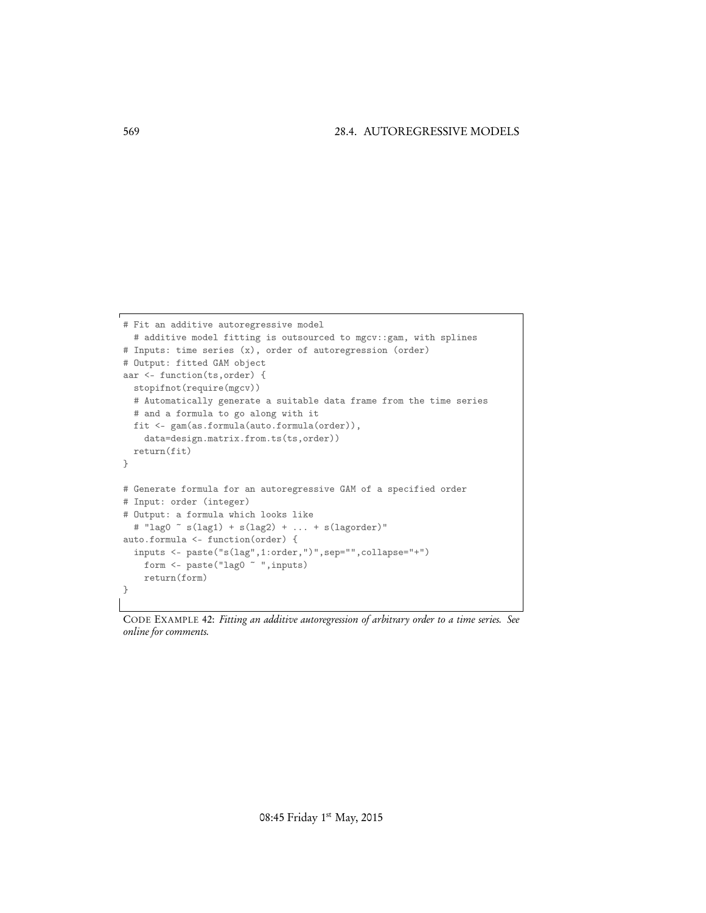```
# Fit an additive autoregressive model
 # additive model fitting is outsourced to mgcv::gam, with splines
# Inputs: time series (x), order of autoregression (order)
# Output: fitted GAM object
aar <- function(ts,order) {
 stopifnot(require(mgcv))
 # Automatically generate a suitable data frame from the time series
 # and a formula to go along with it
 fit <- gam(as.formula(auto.formula(order)),
   data=design.matrix.from.ts(ts,order))
 return(fit)
}
# Generate formula for an autoregressive GAM of a specified order
# Input: order (integer)
# Output: a formula which looks like
 # "lag0 ~ s(lag1) + s(lag2) + ... + s(lagorder)"
auto.formula <- function(order) {
 inputs <- paste("s(lag",1:order,")",sep="",collapse="+")
   form <- paste("lag0 ~ ", inputs)
   return(form)
}
```
CODE EXAMPLE 42: *Fitting an additive autoregression of arbitrary order to a time series. See online for comments.*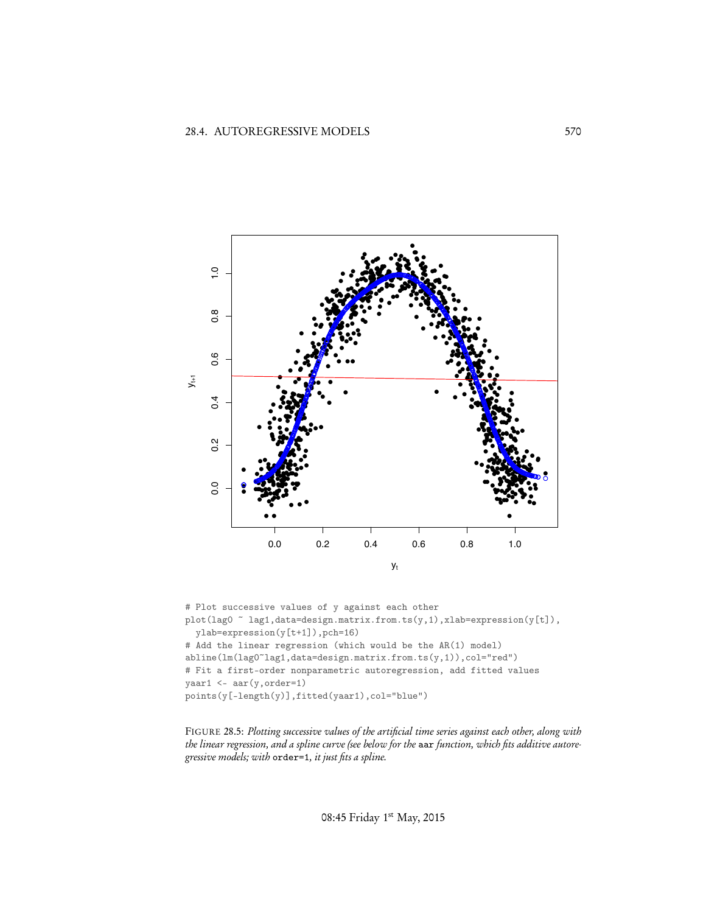

# Plot successive values of y against each other  ${\tt plot(lag0~\tilde{~}~lag1, data=design.matrix.from.ts(y,1), xlabel=expression(y[t]),}$  $y$ lab=expression( $y[t+1]$ ), pch=16) # Add the linear regression (which would be the AR(1) model)  $abline(lm(lag0^rlag1, data=design.mathix.from.ts(y,1)), col="red")$ # Fit a first-order nonparametric autoregression, add fitted values  $yaar1 \leftarrow aar(y, order=1)$ points(y[-length(y)],fitted(yaar1),col="blue")

FIGURE 28.5: Plotting successive values of the artificial time series against each other, along with the linear regression, and a spline curve (see below for the aar function, which fits additive autoregressive models; with order=1, it just fits a spline.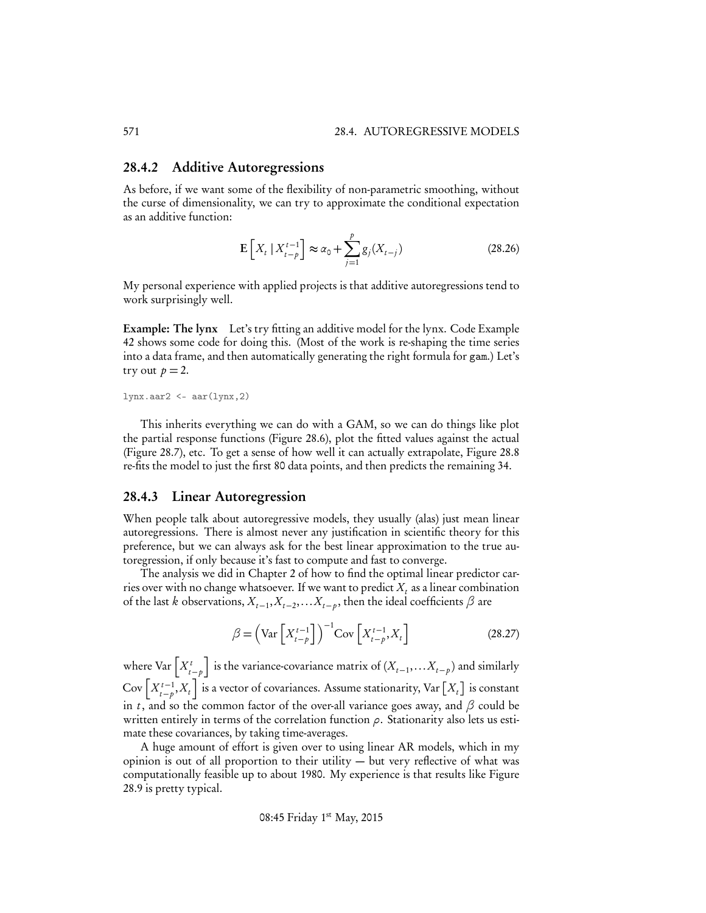#### 28.4.2 Additive Autoregressions

As before, if we want some of the flexibility of non-parametric smoothing, without the curse of dimensionality, we can try to approximate the conditional expectation as an additive function:

$$
\mathbf{E}\left[X_t \mid X_{t-p}^{t-1}\right] \approx \alpha_0 + \sum_{j=1}^p g_j(X_{t-j})
$$
\n(28.26)

My personal experience with applied projects is that additive autoregressions tend to work surprisingly well.

Example: The lynx Let's try fitting an additive model for the lynx. Code Example 42 shows some code for doing this. (Most of the work is re-shaping the time series into a data frame, and then automatically generating the right formula for gam.) Let's try out  $p = 2$ .

 $lynx. aar2 < - aar(1ynx, 2)$ 

This inherits everything we can do with a GAM, so we can do things like plot the partial response functions (Figure 28.6), plot the fitted values against the actual (Figure 28.7), etc. To get a sense of how well it can actually extrapolate, Figure 28.8 re-fits the model to just the first 80 data points, and then predicts the remaining 34.

#### 28.4.3 Linear Autoregression

When people talk about autoregressive models, they usually (alas) just mean linear autoregressions. There is almost never any justification in scientific theory for this preference, but we can always ask for the best linear approximation to the true autoregression, if only because it's fast to compute and fast to converge.

The analysis we did in Chapter 2 of how to find the optimal linear predictor carries over with no change whatsoever. If we want to predict  $X_t$  as a linear combination of the last *k* observations,  $X_{t-1}, X_{t-2}, \ldots, X_{t-p}$ , then the ideal coefficients  $\beta$  are

$$
\beta = \left(\text{Var}\left[X_{t-p}^{t-1}\right]\right)^{-1}\text{Cov}\left[X_{t-p}^{t-1}, X_t\right] \tag{28.27}
$$

where  $\text{Var}\left[X_{t-p}^t\right]$ is the variance-covariance matrix of  $(X_{t-1},...X_{t-p})$  and similarly Cov $\left[X_{t-p}^{t-1}, X_t\right]$  is a vector of covariances. Assume stationarity, Var  $\left[X_t\right]$  is constant in *t*, and so the common factor of the over-all variance goes away, and  $\beta$  could be written entirely in terms of the correlation function  $\rho$ . Stationarity also lets us estimate these covariances, by taking time-averages.

A huge amount of effort is given over to using linear AR models, which in my opinion is out of all proportion to their utility — but very reflective of what was computationally feasible up to about 1980. My experience is that results like Figure 28.9 is pretty typical.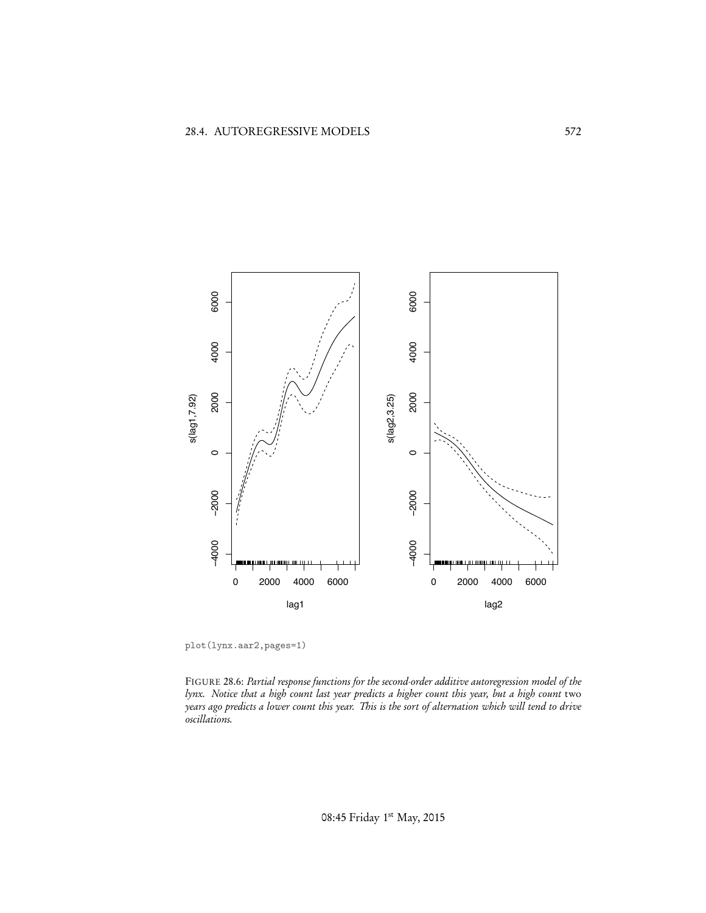

plot(lynx.aar2,pages=1)

FIGURE 28.6: *Partial response functions for the second-order additive autoregression model of the lynx. Notice that a high count last year predicts a higher count this year, but a high count* two *years ago predicts a lower count this year. This is the sort of alternation which will tend to drive oscillations.*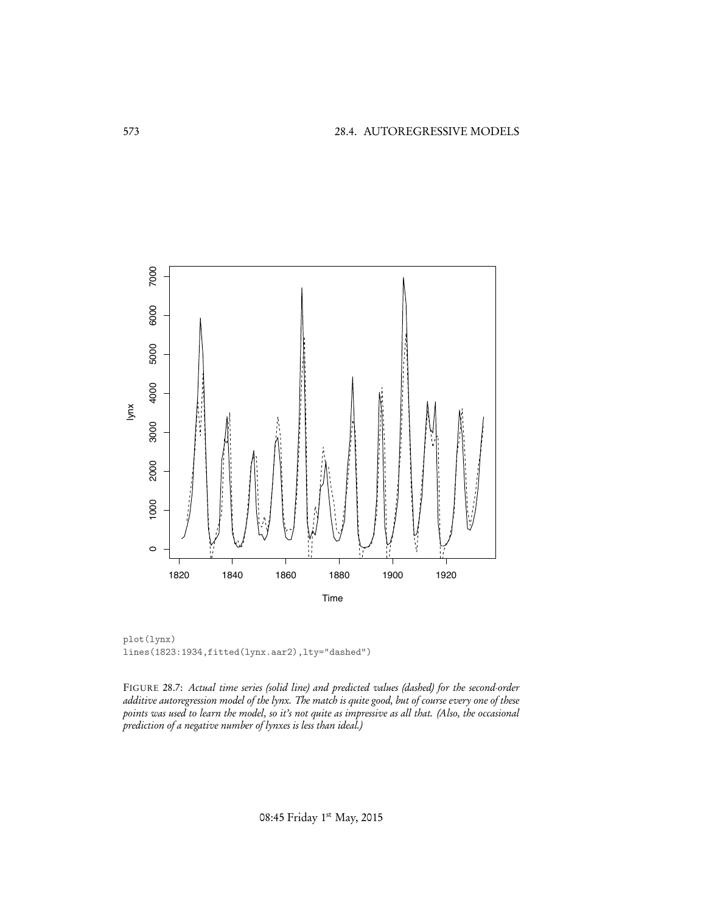

plot(lynx) lines(1823:1934,fitted(lynx.aar2),lty="dashed")

FIGURE 28.7: *Actual time series (solid line) and predicted values (dashed) for the second-order additive autoregression model of the lynx. The match is quite good, but of course every one of these points was used to learn the model, so it's not quite as impressive as all that. (Also, the occasional prediction of a negative number of lynxes is less than ideal.)*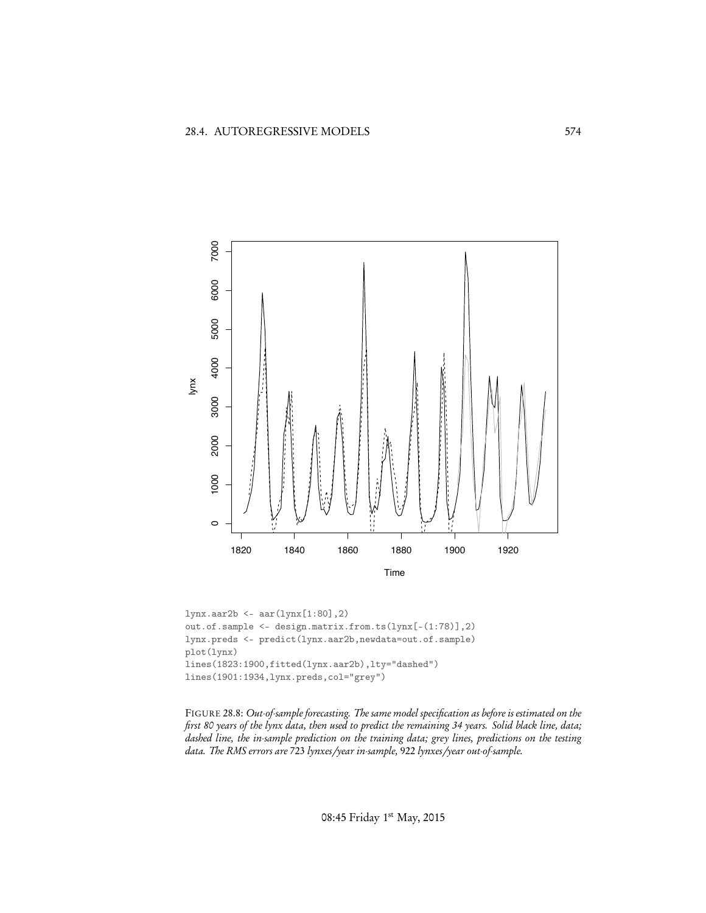

lynx.aar2b <- aar(lynx[1:80],2) out.of.sample <- design.matrix.from.ts(lynx[-(1:78)],2) lynx.preds <- predict(lynx.aar2b,newdata=out.of.sample) plot(lynx) lines(1823:1900,fitted(lynx.aar2b),lty="dashed") lines(1901:1934,lynx.preds,col="grey")

FIGURE 28.8: *Out-of-sample forecasting. The same model specification as before is estimated on the first 80 years of the lynx data, then used to predict the remaining 34 years. Solid black line, data; dashed line, the in-sample prediction on the training data; grey lines, predictions on the testing data. The RMS errors are* 723 *lynxes/year in-sample,* 922 *lynxes/year out-of-sample.*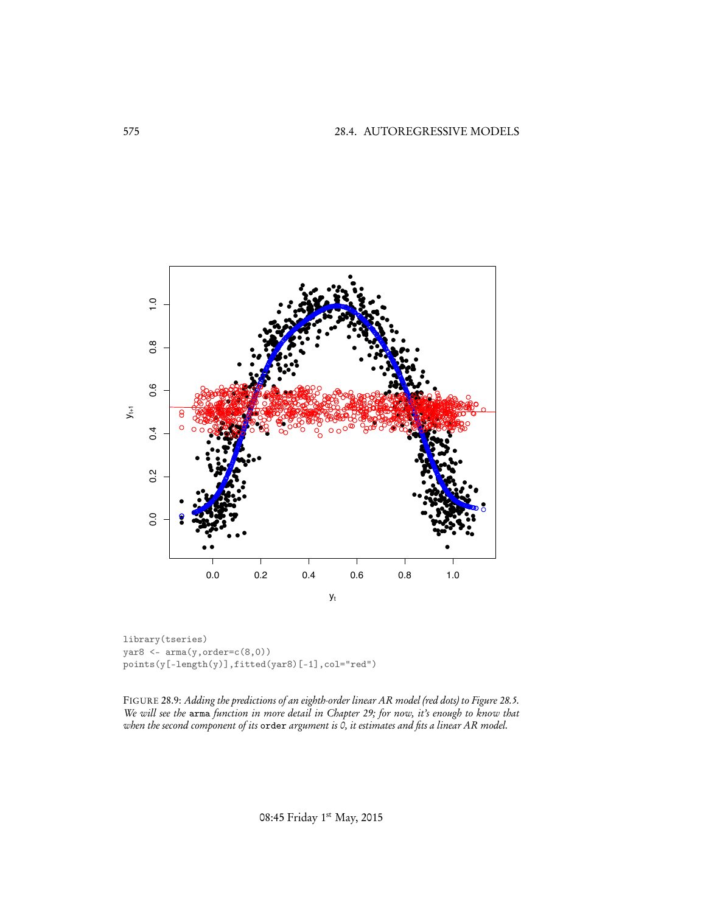

library(tseries) yar<br/>8 $\leftarrow \texttt{arma}(y,\texttt{order=c}(8,0))$  $\texttt{points}(\texttt{y[-length(y)],fitted(yar8)[-1],col="red")}$ 

FIGURE 28.9: Adding the predictions of an eighth-order linear AR model (red dots) to Figure 28.5. We will see the arma function in more detail in Chapter 29; for now, it's enough to know that<br>when the second component of its order argument is 0, it estimates and fits a linear AR model.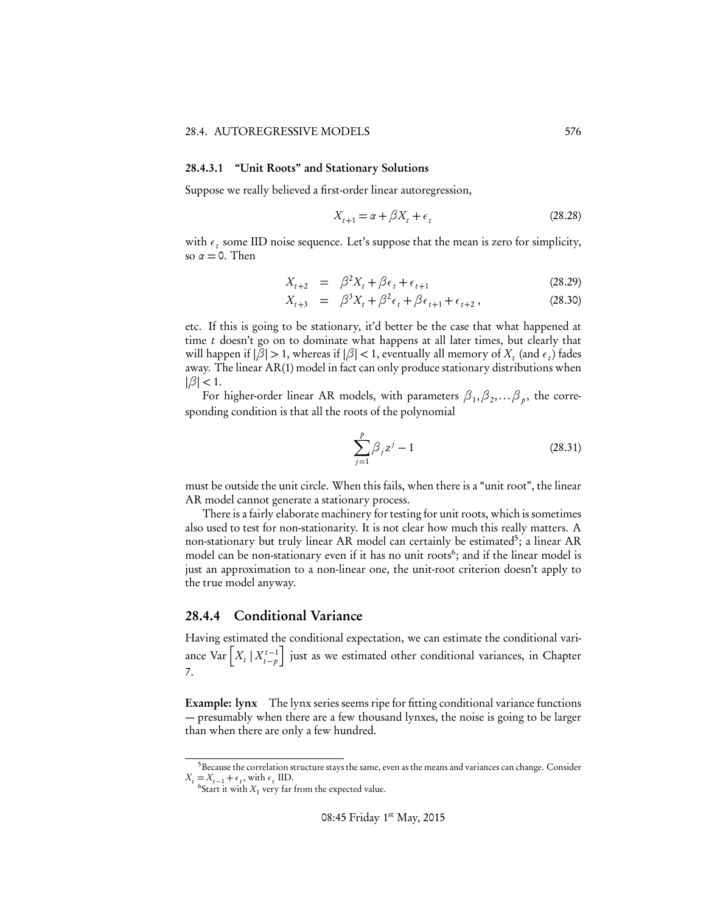#### 28.4.3.1 "Unit Roots" and Stationary Solutions

Suppose we really believed a first-order linear autoregression,

$$
X_{t+1} = \alpha + \beta X_t + \epsilon_t \tag{28.28}
$$

with  $\epsilon_t$  some IID noise sequence. Let's suppose that the mean is zero for simplicity, so  $\alpha = 0$ . Then

$$
X_{t+2} = \beta^2 X_t + \beta \epsilon_t + \epsilon_{t+1}
$$
\n(28.29)

$$
X_{t+3} = \beta^3 X_t + \beta^2 \epsilon_t + \beta \epsilon_{t+1} + \epsilon_{t+2}, \qquad (28.30)
$$

etc. If this is going to be stationary, it'd better be the case that what happened at time *t* doesn't go on to dominate what happens at all later times, but clearly that will happen if  $|\beta| > 1$ , whereas if  $|\beta| < 1$ , eventually all memory of  $X_t$  (and  $\epsilon_t$ ) fades away. The linear AR(1) model in fact can only produce stationary distributions when  $|\beta|$  < 1.

For higher-order linear AR models, with parameters  $\beta_1,\beta_2,...\beta_p$ , the corresponding condition is that all the roots of the polynomial

$$
\sum_{j=1}^{p} \beta_j z^j - 1 \tag{28.31}
$$

must be outside the unit circle. When this fails, when there is a "unit root", the linear AR model cannot generate a stationary process.

There is a fairly elaborate machinery for testing for unit roots, which is sometimes also used to test for non-stationarity. It is not clear how much this really matters. A non-stationary but truly linear AR model can certainly be estimated<sup>5</sup>; a linear AR model can be non-stationary even if it has no unit roots<sup>6</sup>; and if the linear model is just an approximation to a non-linear one, the unit-root criterion doesn't apply to the true model anyway.

## 28.4.4 Conditional Variance

Having estimated the conditional expectation, we can estimate the conditional variance  $\text{Var}\left[X_t \mid X_{t-p}^{t-1}\right]$ i just as we estimated other conditional variances, in Chapter 7.

Example: lynx The lynx series seems ripe for fitting conditional variance functions — presumably when there are a few thousand lynxes, the noise is going to be larger than when there are only a few hundred.

<sup>5</sup>Because the correlation structure stays the same, even as the means and variances can change. Consider  $X_t = X_{t-1} + \epsilon_t$ , with  $\epsilon_t$  IID. 6Start it with  $X_1$  very far from the expected value.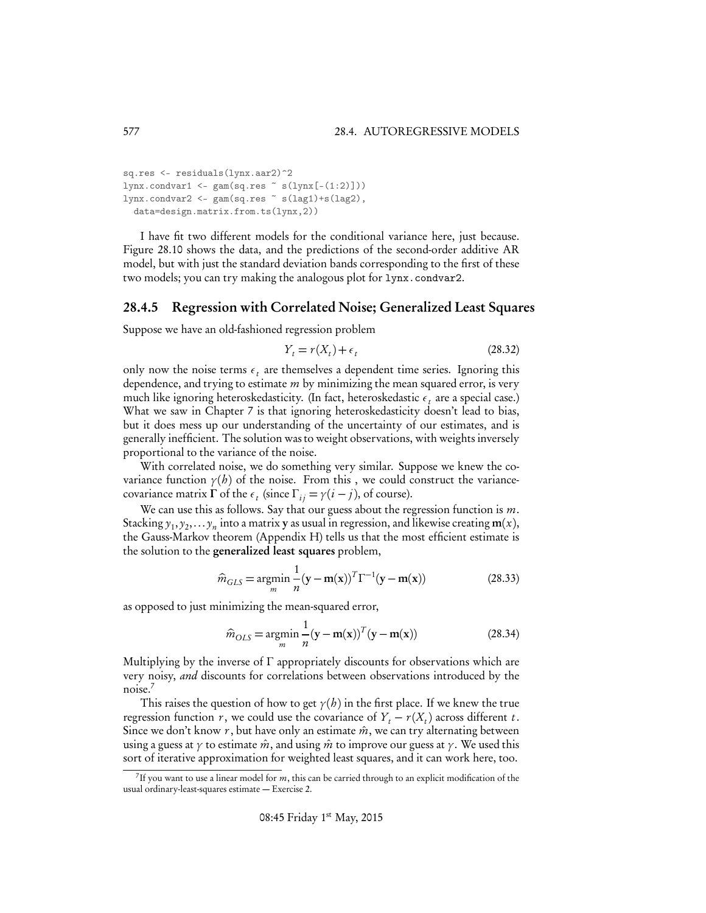```
sq.res <- residuals(lynx.aar2)^2
lynx.condvar1 \leftarrow \text{gam}(\text{sq}.\text{res} \sim \text{s}(lynx[-(1:2)]))lynx.condvar2 < - gam(sq.res \sim s(lag1)+s(lag2),
  data=design.matrix.from.ts(lynx,2))
```
I have fit two different models for the conditional variance here, just because. Figure 28.10 shows the data, and the predictions of the second-order additive AR model, but with just the standard deviation bands corresponding to the first of these two models; you can try making the analogous plot for lynx.condvar2.

#### 28.4.5 Regression with Correlated Noise; Generalized Least Squares

Suppose we have an old-fashioned regression problem

$$
Y_t = r(X_t) + \epsilon_t \tag{28.32}
$$

only now the noise terms  $\epsilon_t$  are themselves a dependent time series. Ignoring this dependence, and trying to estimate *m* by minimizing the mean squared error, is very much like ignoring heteroskedasticity. (In fact, heteroskedastic  $\epsilon_t$  are a special case.) What we saw in Chapter 7 is that ignoring heteroskedasticity doesn't lead to bias, but it does mess up our understanding of the uncertainty of our estimates, and is generally inefficient. The solution was to weight observations, with weights inversely proportional to the variance of the noise.

With correlated noise, we do something very similar. Suppose we knew the covariance function  $\gamma(h)$  of the noise. From this, we could construct the variancecovariance matrix  $\Gamma$  of the  $\epsilon_t$  (since  $\Gamma_{ij} = \gamma(i - j)$ , of course).

We can use this as follows. Say that our guess about the regression function is *m*. Stacking  $y_1, y_2,... y_n$  into a matrix **y** as usual in regression, and likewise creating **m**(*x*), the Gauss-Markov theorem (Appendix H) tells us that the most efficient estimate is the solution to the generalized least squares problem,

$$
\widehat{m}_{GLS} = \underset{m}{\operatorname{argmin}} \frac{1}{n} (\mathbf{y} - \mathbf{m}(\mathbf{x}))^T \Gamma^{-1} (\mathbf{y} - \mathbf{m}(\mathbf{x}))
$$
\n(28.33)

as opposed to just minimizing the mean-squared error,

$$
\widehat{m}_{OLS} = \underset{m}{\operatorname{argmin}} \frac{1}{n} (\mathbf{y} - \mathbf{m}(\mathbf{x}))^T (\mathbf{y} - \mathbf{m}(\mathbf{x}))
$$
\n(28.34)

Multiplying by the inverse of  $\Gamma$  appropriately discounts for observations which are very noisy, *and* discounts for correlations between observations introduced by the noise.<sup>7</sup>

This raises the question of how to get  $\gamma(h)$  in the first place. If we knew the true regression function *r*, we could use the covariance of  $Y_t - r(X_t)$  across different *t*. Since we don't know  $r$ , but have only an estimate  $\hat{m}$ , we can try alternating between using a guess at  $\gamma$  to estimate  $\hat{m}$ , and using  $\hat{m}$  to improve our guess at  $\gamma$ . We used this sort of iterative approximation for weighted least squares, and it can work here, too.

<sup>7</sup>If you want to use a linear model for *m*, this can be carried through to an explicit modification of the usual ordinary-least-squares estimate — Exercise 2.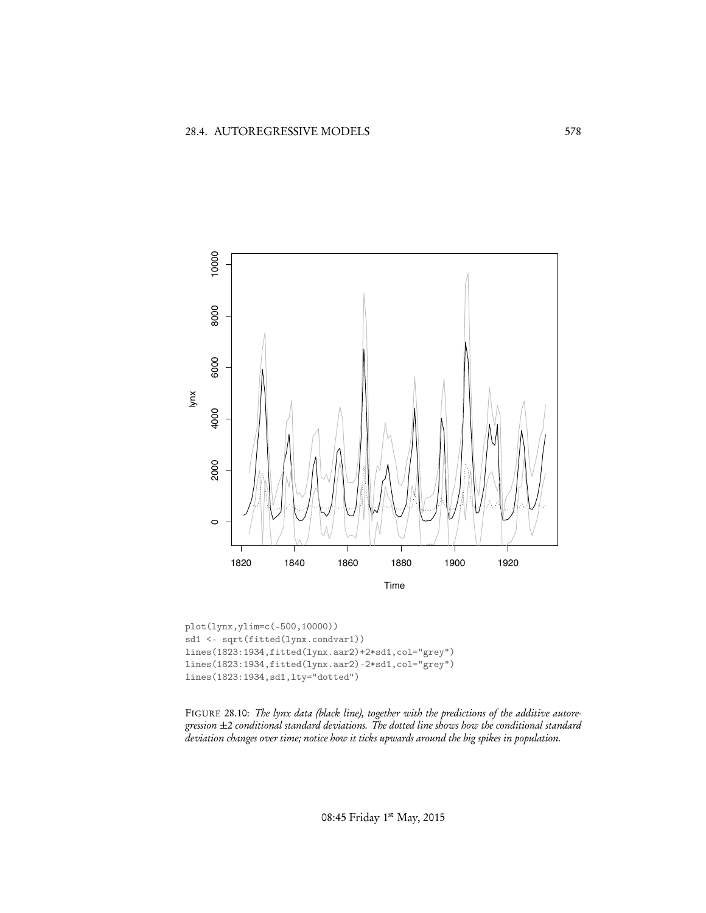

plot(lynx,ylim=c(-500,10000)) sd1 <- sqrt(fitted(lynx.condvar1)) lines(1823:1934,fitted(lynx.aar2)+2\*sd1,col="grey") lines(1823:1934,fitted(lynx.aar2)-2\*sd1,col="grey") lines(1823:1934,sd1,lty="dotted")

FIGURE 28.10: *The lynx data (black line), together with the predictions of the additive autoregression ±*2 *conditional standard deviations. The dotted line shows how the conditional standard deviation changes over time; notice how it ticks upwards around the big spikes in population.*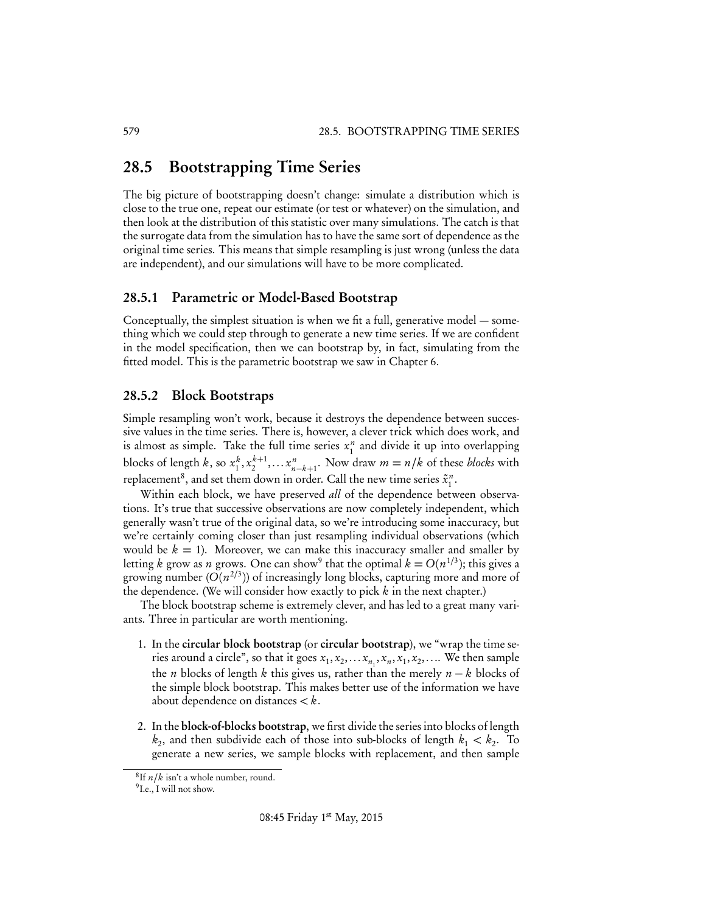# 28.5 Bootstrapping Time Series

The big picture of bootstrapping doesn't change: simulate a distribution which is close to the true one, repeat our estimate (or test or whatever) on the simulation, and then look at the distribution of this statistic over many simulations. The catch is that the surrogate data from the simulation has to have the same sort of dependence as the original time series. This means that simple resampling is just wrong (unless the data are independent), and our simulations will have to be more complicated.

## 28.5.1 Parametric or Model-Based Bootstrap

Conceptually, the simplest situation is when we fit a full, generative model — something which we could step through to generate a new time series. If we are confident in the model specification, then we can bootstrap by, in fact, simulating from the fitted model. This is the parametric bootstrap we saw in Chapter 6.

## 28.5.2 Block Bootstraps

Simple resampling won't work, because it destroys the dependence between successive values in the time series. There is, however, a clever trick which does work, and is almost as simple. Take the full time series  $x_1^n$  and divide it up into overlapping blocks of length *k*, so  $x_1^k, x_2^{k+1}, \ldots, x_{n-k+1}^n$ . Now draw  $m = n/k$  of these *blocks* with replacement<sup>8</sup>, and set them down in order. Call the new time series  $\tilde{x}_1^n$ .

Within each block, we have preserved *all* of the dependence between observations. It's true that successive observations are now completely independent, which generally wasn't true of the original data, so we're introducing some inaccuracy, but we're certainly coming closer than just resampling individual observations (which would be  $k = 1$ ). Moreover, we can make this inaccuracy smaller and smaller by letting *k* grow as *n* grows. One can show<sup>9</sup> that the optimal  $k = O(n^{1/3})$ ; this gives a growing number  $(O(n^{2/3}))$  of increasingly long blocks, capturing more and more of the dependence. (We will consider how exactly to pick *k* in the next chapter.)

The block bootstrap scheme is extremely clever, and has led to a great many variants. Three in particular are worth mentioning.

- 1. In the circular block bootstrap (or circular bootstrap), we "wrap the time series around a circle", so that it goes  $x_1, x_2, \ldots x_{n_1}, x_n, x_1, x_2, \ldots$ . We then sample the *n* blocks of length *k* this gives us, rather than the merely  $n - k$  blocks of the simple block bootstrap. This makes better use of the information we have about dependence on distances *< k*.
- 2. In the block-of-blocks bootstrap, we first divide the series into blocks of length  $k_2$ , and then subdivide each of those into sub-blocks of length  $k_1 < k_2$ . To generate a new series, we sample blocks with replacement, and then sample

 ${}^{8}$ If  $n/k$  isn't a whole number, round.<br><sup>9</sup>I.e., I will not show.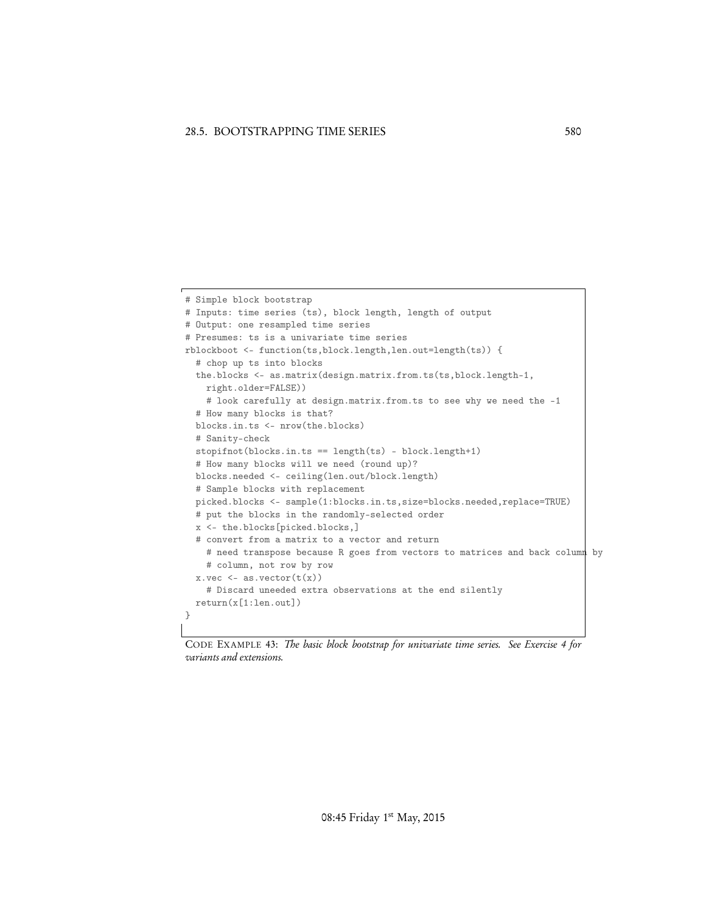```
# Simple block bootstrap
# Inputs: time series (ts), block length, length of output
# Output: one resampled time series
# Presumes: ts is a univariate time series
rblockboot <- function(ts,block.length,len.out=length(ts)) {
  # chop up ts into blocks
 the.blocks <- as.matrix(design.matrix.from.ts(ts,block.length-1,
   right.older=FALSE))
   # look carefully at design.matrix.from.ts to see why we need the -1
  # How many blocks is that?
  blocks.in.ts <- nrow(the.blocks)
  # Sanity-check
  stopifnot(blocks.in.ts == length(ts) - block.length+1)
  # How many blocks will we need (round up)?
  blocks.needed <- ceiling(len.out/block.length)
  # Sample blocks with replacement
 picked.blocks <- sample(1:blocks.in.ts,size=blocks.needed,replace=TRUE)
  # put the blocks in the randomly-selected order
  x <- the.blocks[picked.blocks,]
  # convert from a matrix to a vector and return
   # need transpose because R goes from vectors to matrices and back column by
   # column, not row by row
  x.vec \leftarrow as.vector(t(x))# Discard uneeded extra observations at the end silently
 return(x[1:len.out])
}
```
CODE EXAMPLE 43: *The basic block bootstrap for univariate time series. See Exercise 4 for variants and extensions.*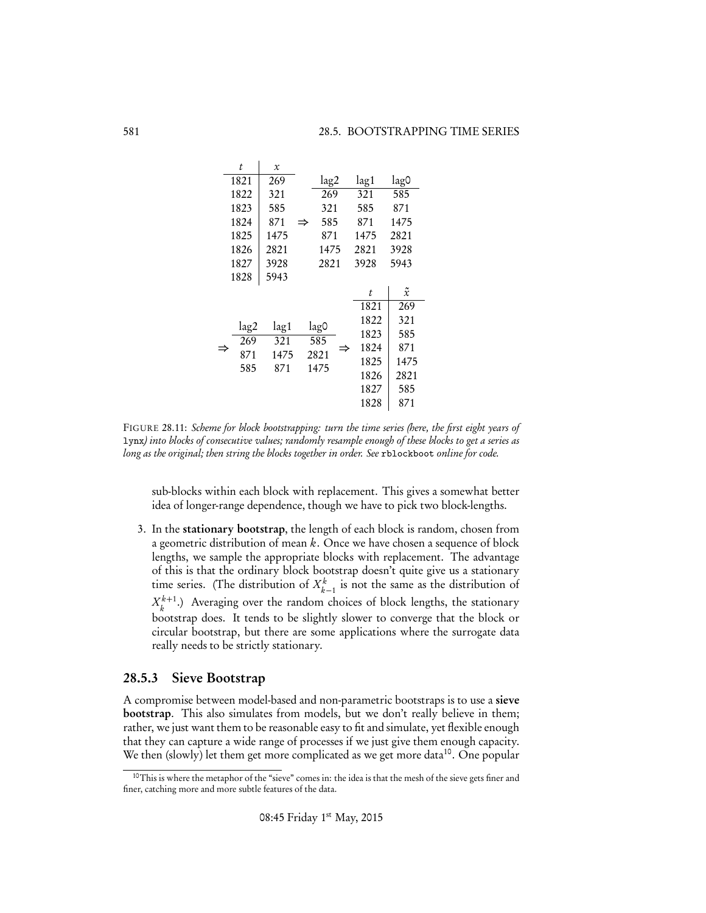|      | t    | $\mathcal{X}$ |   |             |  |      |      |             |  |
|------|------|---------------|---|-------------|--|------|------|-------------|--|
|      | 1821 | 269           |   | lag2        |  | lag1 |      | lag0        |  |
| 1822 |      | 321           |   | 269<br>321  |  | 321  | 585  |             |  |
| 1823 |      | 585           |   |             |  | 585  | 871  |             |  |
| 1824 |      | 871           | ⇒ | 585         |  | 871  | 1475 |             |  |
| 1825 |      | 1475          |   | 871<br>1475 |  | 1475 | 2821 |             |  |
| 1826 |      | 2821          |   |             |  | 2821 | 3928 |             |  |
|      | 1827 | 3928          |   | 2821        |  | 3928 | 5943 |             |  |
|      | 1828 | 5943          |   |             |  |      |      |             |  |
|      |      |               |   |             |  | t    |      | $\tilde{x}$ |  |
|      |      |               |   |             |  | 1821 |      | 269         |  |
|      | lag2 | lag1          |   | lag0<br>585 |  | 1822 |      | 321         |  |
|      | 269  | 321           |   |             |  | 1823 |      | 585         |  |
|      | 871  | 1475          |   | 2821        |  | 1824 |      | 871         |  |
|      | 585  | 871           |   | 1475        |  | 1825 |      | 1475        |  |
|      |      |               |   |             |  | 1826 |      | 2821        |  |
|      |      |               |   |             |  | 1827 |      | 585         |  |
|      |      |               |   |             |  | 1828 |      | 871         |  |

FIGURE 28.11: *Scheme for block bootstrapping: turn the time series (here, the first eight years of* lynx*) into blocks of consecutive values; randomly resample enough of these blocks to get a series as long as the original; then string the blocks together in order. See* rblockboot *online for code.*

sub-blocks within each block with replacement. This gives a somewhat better idea of longer-range dependence, though we have to pick two block-lengths.

3. In the stationary bootstrap, the length of each block is random, chosen from a geometric distribution of mean *k*. Once we have chosen a sequence of block lengths, we sample the appropriate blocks with replacement. The advantage of this is that the ordinary block bootstrap doesn't quite give us a stationary time series. (The distribution of  $X_{k-1}^k$  is not the same as the distribution of  $X_k^{k+1}$ .) Averaging over the random choices of block lengths, the stationary bootstrap does. It tends to be slightly slower to converge that the block or circular bootstrap, but there are some applications where the surrogate data really needs to be strictly stationary.

## 28.5.3 Sieve Bootstrap

A compromise between model-based and non-parametric bootstraps is to use a sieve bootstrap. This also simulates from models, but we don't really believe in them; rather, we just want them to be reasonable easy to fit and simulate, yet flexible enough that they can capture a wide range of processes if we just give them enough capacity. We then (slowly) let them get more complicated as we get more data<sup>10</sup>. One popular

<sup>&</sup>lt;sup>10</sup>This is where the metaphor of the "sieve" comes in: the idea is that the mesh of the sieve gets finer and finer, catching more and more subtle features of the data.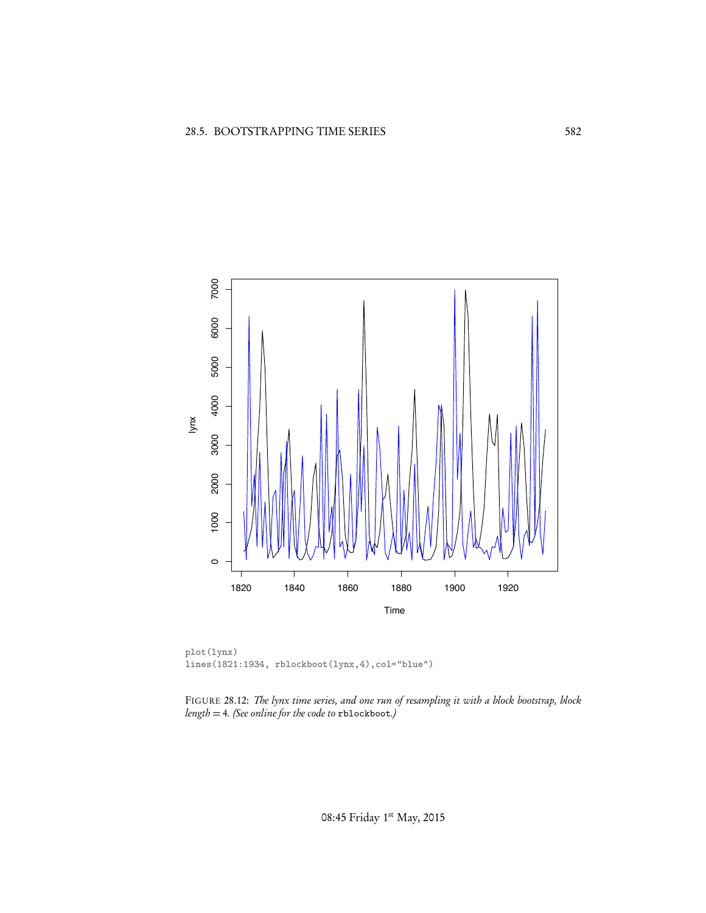

plot(lynx) lines(1821:1934, rblockboot(lynx,4),col="blue")

FIGURE 28.12: *The lynx time series, and one run of resampling it with a block bootstrap, block length* = 4*. (See online for the code to* rblockboot*.)*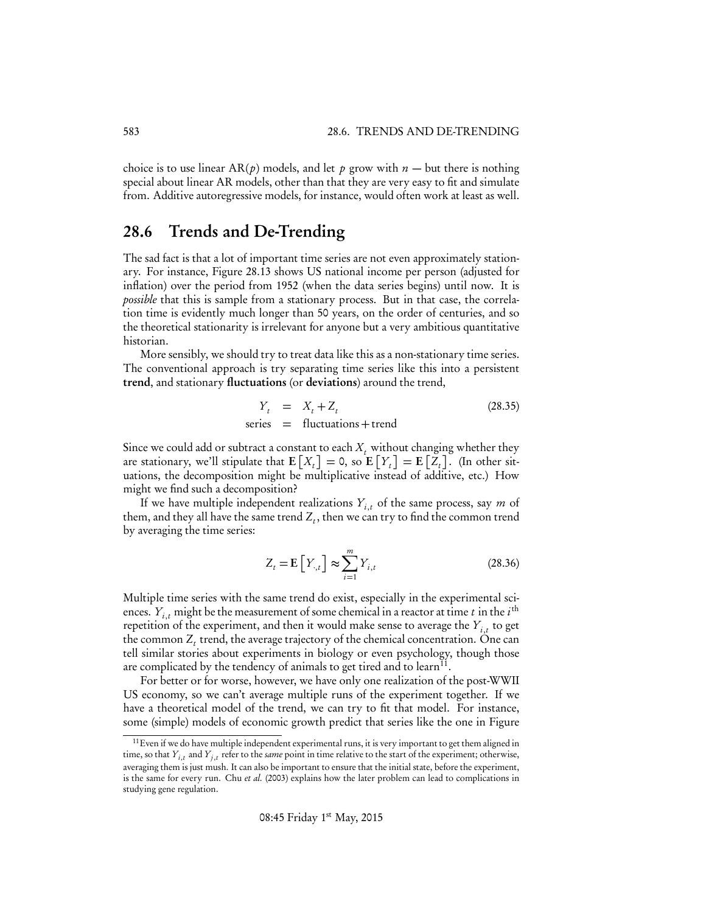choice is to use linear  $AR(p)$  models, and let p grow with  $n -$  but there is nothing special about linear AR models, other than that they are very easy to fit and simulate from. Additive autoregressive models, for instance, would often work at least as well.

# 28.6 Trends and De-Trending

The sad fact is that a lot of important time series are not even approximately stationary. For instance, Figure 28.13 shows US national income per person (adjusted for inflation) over the period from 1952 (when the data series begins) until now. It is *possible* that this is sample from a stationary process. But in that case, the correlation time is evidently much longer than 50 years, on the order of centuries, and so the theoretical stationarity is irrelevant for anyone but a very ambitious quantitative historian.

More sensibly, we should try to treat data like this as a non-stationary time series. The conventional approach is try separating time series like this into a persistent trend, and stationary fluctuations (or deviations) around the trend,

$$
Y_t = X_t + Z_t
$$
 (28.35)  
series = fluctuations + trend

Since we could add or subtract a constant to each  $X_t$  without changing whether they are stationary, we'll stipulate that  $E\left[X_t\right] = 0$ , so  $E\left[Y_t\right] = E\left[Z_t\right]$ . (In other situations, the decomposition might be multiplicative instead of additive, etc.) How might we find such a decomposition?

If we have multiple independent realizations  $Y_{i,t}$  of the same process, say *m* of them, and they all have the same trend  $Z_t$ , then we can try to find the common trend by averaging the time series:

$$
Z_t = \mathbf{E}\left[Y_{\cdot,t}\right] \approx \sum_{i=1}^{m} Y_{i,t} \tag{28.36}
$$

Multiple time series with the same trend do exist, especially in the experimental sciences.  $Y_{i,t}$  might be the measurement of some chemical in a reactor at time *t* in the  $i^{\text{th}}$ repetition of the experiment, and then it would make sense to average the  $Y_{i,t}$  to get the common  $Z_t$  trend, the average trajectory of the chemical concentration. One can tell similar stories about experiments in biology or even psychology, though those are complicated by the tendency of animals to get tired and to learn<sup>11</sup>.

For better or for worse, however, we have only one realization of the post-WWII US economy, so we can't average multiple runs of the experiment together. If we have a theoretical model of the trend, we can try to fit that model. For instance, some (simple) models of economic growth predict that series like the one in Figure

<sup>&</sup>lt;sup>11</sup> Even if we do have multiple independent experimental runs, it is very important to get them aligned in time, so that  $Y_{i,t}$  and  $Y_{j,t}$  refer to the *same* point in time relative to the start of the experiment; otherwise, averaging them is just mush. It can also be important to ensure that the initial state, before the experiment, is the same for every run. Chu *et al.* (2003) explains how the later problem can lead to complications in studying gene regulation.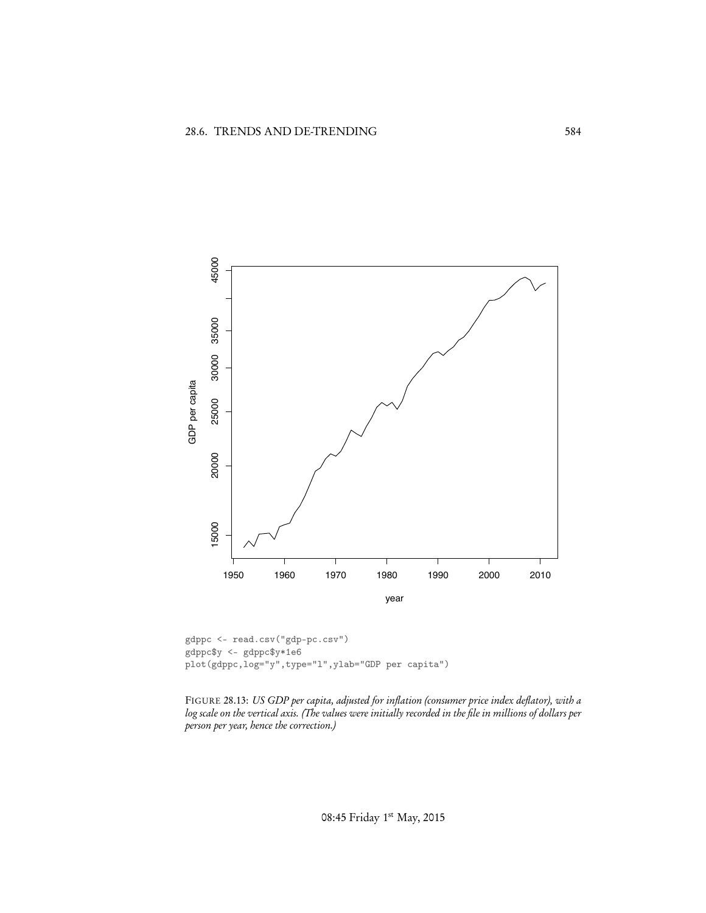

gdppc <- read.csv("gdp-pc.csv") gdppc\$y <- gdppc\$y\*1e6 plot(gdppc,log="y",type="l",ylab="GDP per capita")

FIGURE 28.13: *US GDP per capita, adjusted for inflation (consumer price index deflator), with a log scale on the vertical axis. (The values were initially recorded in the file in millions of dollars per person per year, hence the correction.)*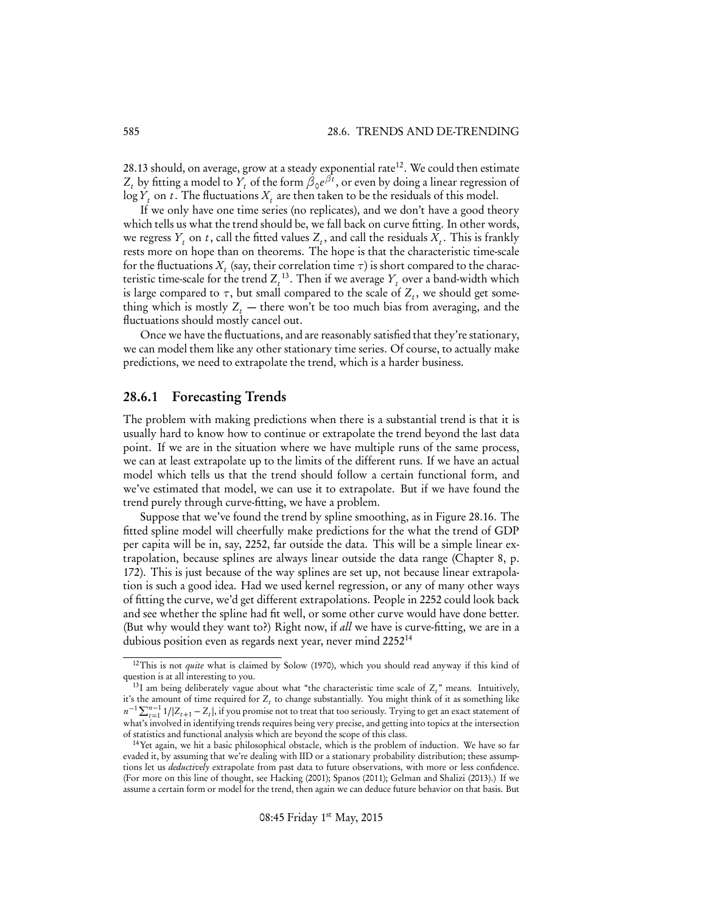28.13 should, on average, grow at a steady exponential rate<sup>12</sup>. We could then estimate  $Z_t$  by fitting a model to  $Y_t$  of the form  $\beta_0 e^{\beta t}$ , or even by doing a linear regression of  $\log Y_t$  on *t*. The fluctuations  $X_t$  are then taken to be the residuals of this model.

If we only have one time series (no replicates), and we don't have a good theory which tells us what the trend should be, we fall back on curve fitting. In other words, we regress  $Y_t$  on  $t$ , call the fitted values  $Z_t$ , and call the residuals  $X_t$ . This is frankly rests more on hope than on theorems. The hope is that the characteristic time-scale for the fluctuations  $X_t$  (say, their correlation time  $\tau$ ) is short compared to the characteristic time-scale for the trend  $Z_t^{13}$ . Then if we average  $Y_t$  over a band-width which is large compared to  $\tau$ , but small compared to the scale of  $Z_t$ , we should get something which is mostly  $Z_t$  — there won't be too much bias from averaging, and the fluctuations should mostly cancel out.

Once we have the fluctuations, and are reasonably satisfied that they're stationary, we can model them like any other stationary time series. Of course, to actually make predictions, we need to extrapolate the trend, which is a harder business.

#### 28.6.1 Forecasting Trends

The problem with making predictions when there is a substantial trend is that it is usually hard to know how to continue or extrapolate the trend beyond the last data point. If we are in the situation where we have multiple runs of the same process, we can at least extrapolate up to the limits of the different runs. If we have an actual model which tells us that the trend should follow a certain functional form, and we've estimated that model, we can use it to extrapolate. But if we have found the trend purely through curve-fitting, we have a problem.

Suppose that we've found the trend by spline smoothing, as in Figure 28.16. The fitted spline model will cheerfully make predictions for the what the trend of GDP per capita will be in, say, 2252, far outside the data. This will be a simple linear extrapolation, because splines are always linear outside the data range (Chapter 8, p. 172). This is just because of the way splines are set up, not because linear extrapolation is such a good idea. Had we used kernel regression, or any of many other ways of fitting the curve, we'd get different extrapolations. People in 2252 could look back and see whether the spline had fit well, or some other curve would have done better. (But why would they want to?) Right now, if *all* we have is curve-fitting, we are in a dubious position even as regards next year, never mind 2252<sup>14</sup>

<sup>12</sup>This is not *quite* what is claimed by Solow (1970), which you should read anyway if this kind of question is at all interesting to you.

 $^{13}$ I am being deliberately vague about what "the characteristic time scale of  $Z_t$ " means. Intuitively, it's the amount of time required for  $Z_t$  to change substantially. You might think of it as something like  $n^{-1} \sum_{t=1}^{n-1} 1/|Z_{t+1} - Z_t|$ , if you promise not to treat that too seriously. Trying to get an exact statement of what's involved in identifying trends requires being very precise, and getting into topics at the intersection of statistics and functional analysis which are beyond the scope of this class.

<sup>14</sup>Yet again, we hit a basic philosophical obstacle, which is the problem of induction. We have so far evaded it, by assuming that we're dealing with IID or a stationary probability distribution; these assumptions let us *deductively* extrapolate from past data to future observations, with more or less confidence. (For more on this line of thought, see Hacking (2001); Spanos (2011); Gelman and Shalizi (2013).) If we assume a certain form or model for the trend, then again we can deduce future behavior on that basis. But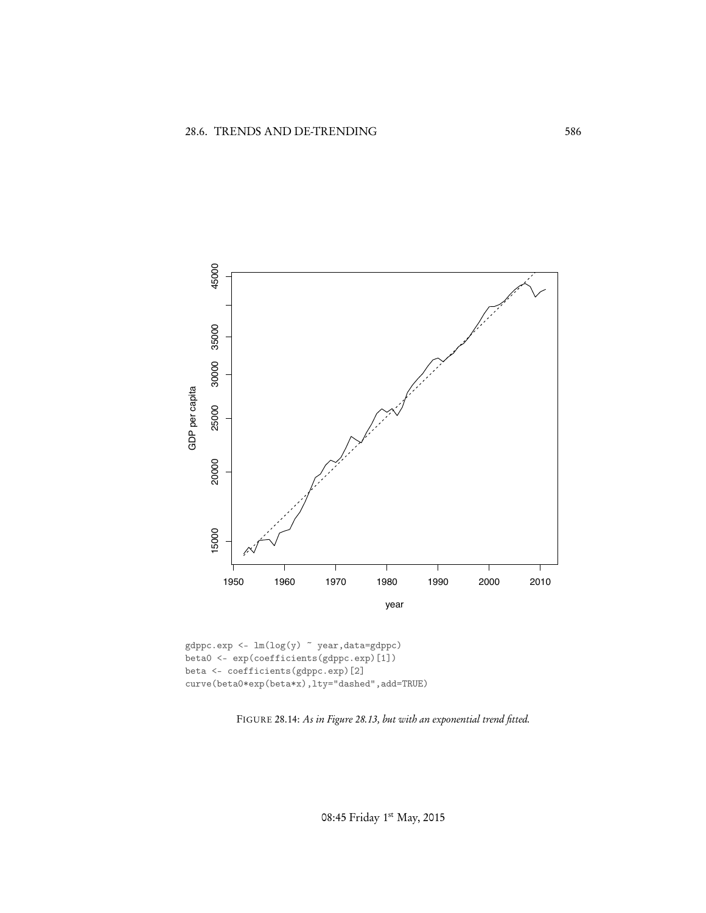

 $\verb|gdppc.exp<-lm(log(y) ~\tilde{~} year, data=gdppc)|$ beta0 <- exp(coefficients(gdppc.exp)[1]) beta <- coefficients(gdppc.exp)[2] curve(beta0\*exp(beta\*x),lty="dashed",add=TRUE)

FIGURE 28.14: *As in Figure 28.13, but with an exponential trend fitted.*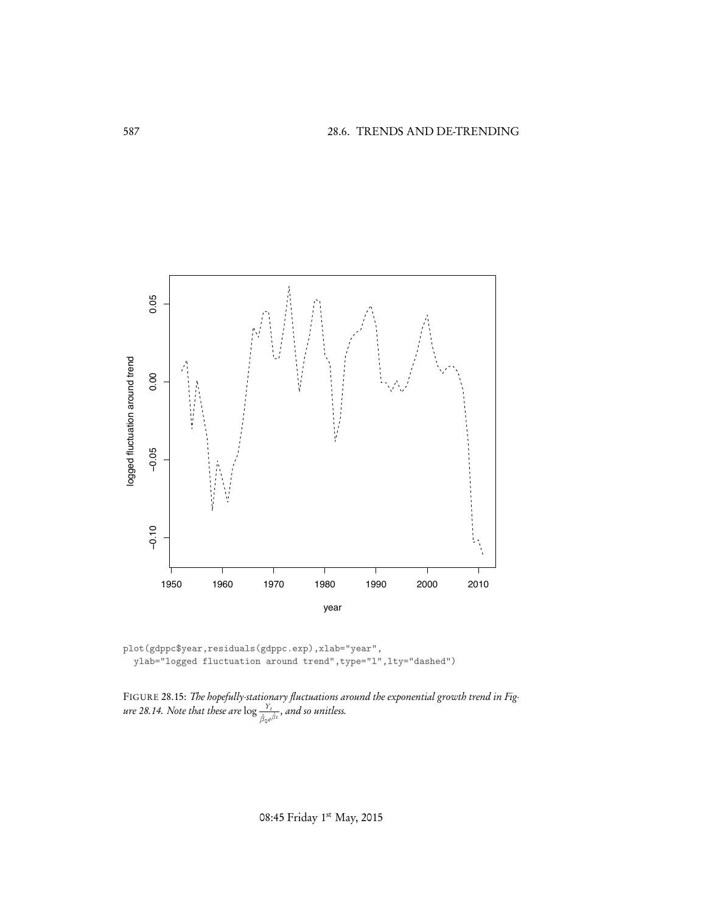

plot(gdppc\$year,residuals(gdppc.exp),xlab="year", ylab="logged fluctuation around trend",type="l",lty="dashed")

FIGURE 28.15: *The hopefully-stationary fluctuations around the exponential growth trend in Figure 28.14. Note that these are*  $\log \frac{Y_t}{\hat{\beta}_0 e^{\hat{\beta}t}}$ *, and so unitless.*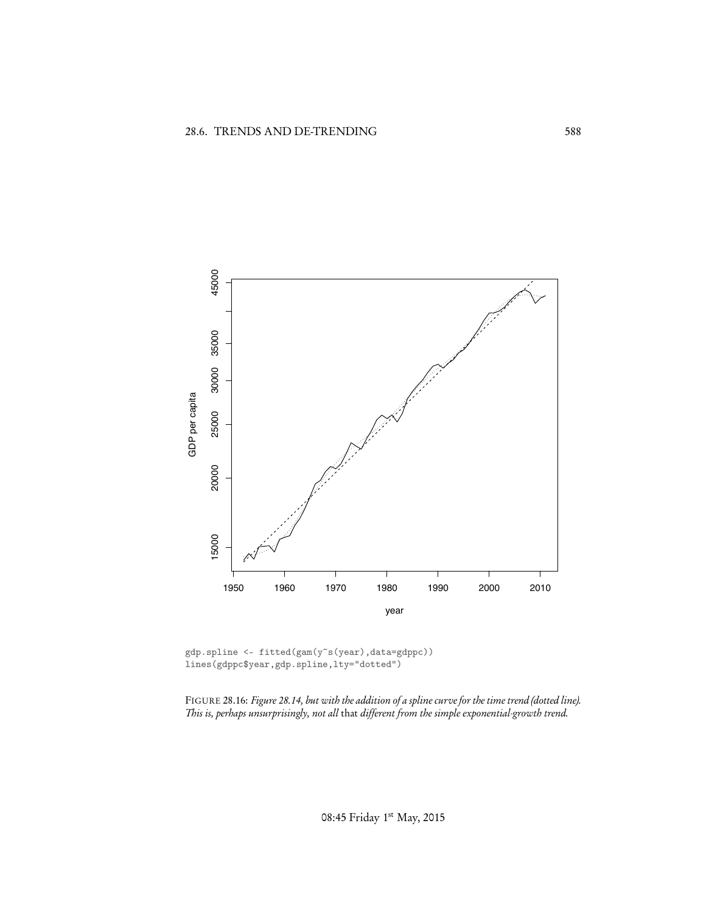

gdp.spline <- fitted(gam(y~s(year),data=gdppc)) lines(gdppc\$year,gdp.spline,lty="dotted")

FIGURE 28.16: *Figure 28.14, but with the addition of a spline curve for the time trend (dotted line). This is, perhaps unsurprisingly, not all* that *different from the simple exponential-growth trend.*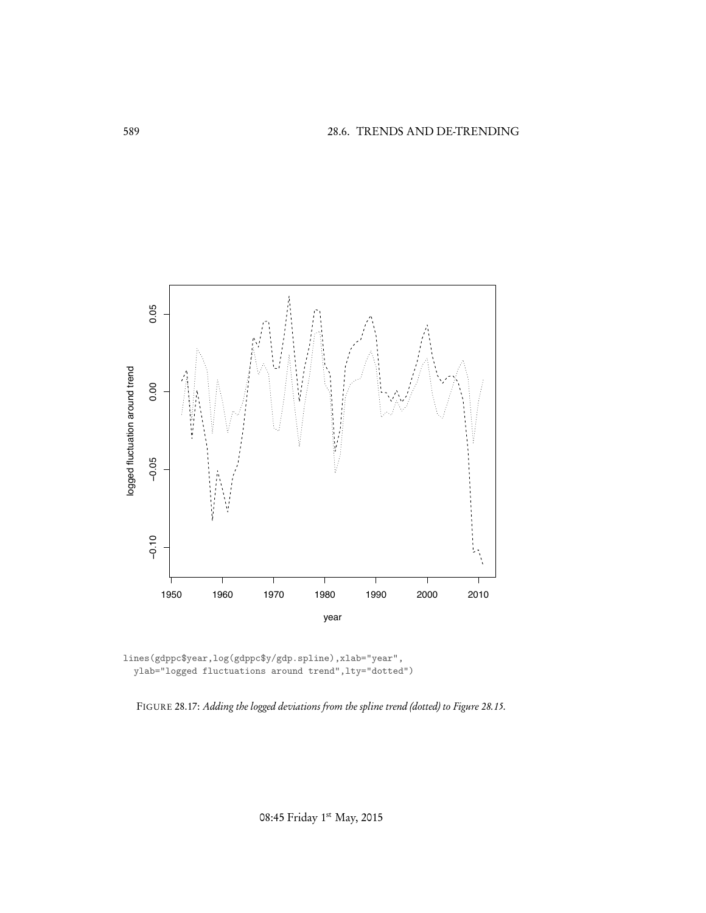

lines(gdppc\$year,log(gdppc\$y/gdp.spline),xlab="year", ylab="logged fluctuations around trend",lty="dotted")

FIGURE 28.17: *Adding the logged deviations from the spline trend (dotted) to Figure 28.15.*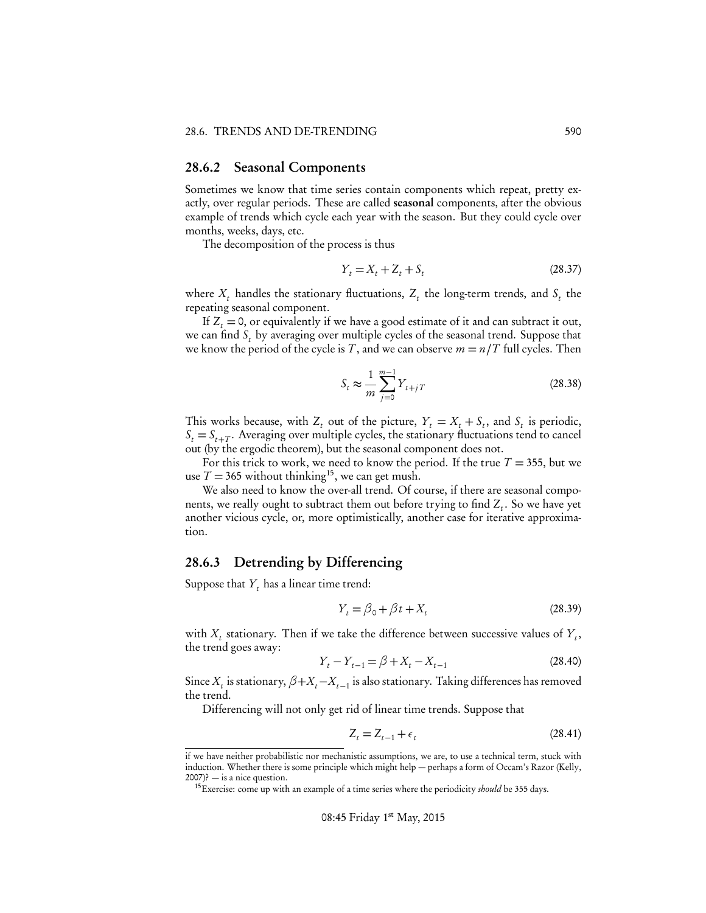### 28.6.2 Seasonal Components

Sometimes we know that time series contain components which repeat, pretty exactly, over regular periods. These are called seasonal components, after the obvious example of trends which cycle each year with the season. But they could cycle over months, weeks, days, etc.

The decomposition of the process is thus

$$
Y_t = X_t + Z_t + S_t \tag{28.37}
$$

where  $X_t$  handles the stationary fluctuations,  $Z_t$  the long-term trends, and  $S_t$  the repeating seasonal component.

If  $Z_t = 0$ , or equivalently if we have a good estimate of it and can subtract it out, we can find *St* by averaging over multiple cycles of the seasonal trend. Suppose that we know the period of the cycle is *T*, and we can observe  $m = n/T$  full cycles. Then

$$
S_t \approx \frac{1}{m} \sum_{j=0}^{m-1} Y_{t+jT}
$$
 (28.38)

This works because, with  $Z_t$  out of the picture,  $Y_t = X_t + S_t$ , and  $S_t$  is periodic,  $S_t = S_{t+T}$ . Averaging over multiple cycles, the stationary fluctuations tend to cancel out (by the ergodic theorem), but the seasonal component does not.

For this trick to work, we need to know the period. If the true  $T = 355$ , but we use  $T = 365$  without thinking<sup>15</sup>, we can get mush.

We also need to know the over-all trend. Of course, if there are seasonal components, we really ought to subtract them out before trying to find  $Z_t$ . So we have yet another vicious cycle, or, more optimistically, another case for iterative approximation.

## 28.6.3 Detrending by Differencing

Suppose that  $Y_t$  has a linear time trend:

$$
Y_t = \beta_0 + \beta t + X_t \tag{28.39}
$$

with  $X_t$  stationary. Then if we take the difference between successive values of  $Y_t$ , the trend goes away:

$$
Y_t - Y_{t-1} = \beta + X_t - X_{t-1}
$$
\n(28.40)

Since  $X_t$  is stationary,  $\beta + X_t - X_{t-1}$  is also stationary. Taking differences has removed the trend.

Differencing will not only get rid of linear time trends. Suppose that

$$
Z_t = Z_{t-1} + \epsilon_t \tag{28.41}
$$

if we have neither probabilistic nor mechanistic assumptions, we are, to use a technical term, stuck with induction. Whether there is some principle which might help — perhaps a form of Occam's Razor (Kelly,  $2007$ )? — is a nice question.

<sup>15</sup>Exercise: come up with an example of a time series where the periodicity *should* be 355 days.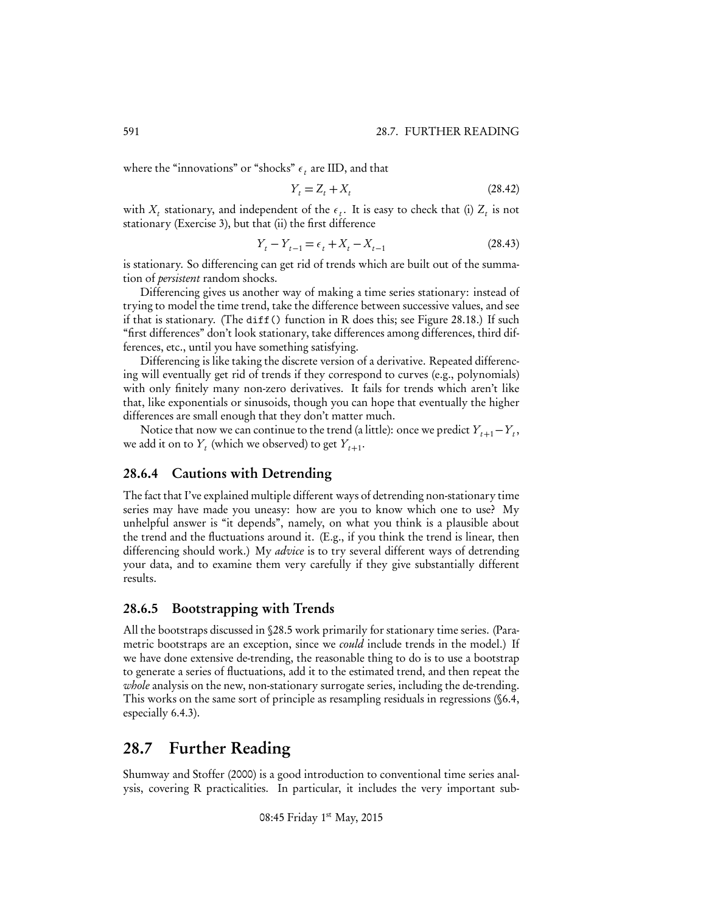where the "innovations" or "shocks"  $\epsilon_t$  are IID, and that

$$
Y_t = Z_t + X_t \tag{28.42}
$$

with  $X_t$  stationary, and independent of the  $\epsilon_t$ . It is easy to check that (i)  $Z_t$  is not stationary (Exercise 3), but that (ii) the first difference

$$
Y_t - Y_{t-1} = \epsilon_t + X_t - X_{t-1}
$$
\n(28.43)

is stationary. So differencing can get rid of trends which are built out of the summation of *persistent* random shocks.

Differencing gives us another way of making a time series stationary: instead of trying to model the time trend, take the difference between successive values, and see if that is stationary. (The diff() function in R does this; see Figure 28.18.) If such "first differences" don't look stationary, take differences among differences, third differences, etc., until you have something satisfying.

Differencing is like taking the discrete version of a derivative. Repeated differencing will eventually get rid of trends if they correspond to curves (e.g., polynomials) with only finitely many non-zero derivatives. It fails for trends which aren't like that, like exponentials or sinusoids, though you can hope that eventually the higher differences are small enough that they don't matter much.

Notice that now we can continue to the trend (a little): once we predict  $Y_{t+1}-Y_t$ , we add it on to  $Y_t$  (which we observed) to get  $Y_{t+1}$ .

## 28.6.4 Cautions with Detrending

The fact that I've explained multiple different ways of detrending non-stationary time series may have made you uneasy: how are you to know which one to use? My unhelpful answer is "it depends", namely, on what you think is a plausible about the trend and the fluctuations around it. (E.g., if you think the trend is linear, then differencing should work.) My *advice* is to try several different ways of detrending your data, and to examine them very carefully if they give substantially different results.

## 28.6.5 Bootstrapping with Trends

All the bootstraps discussed in §28.5 work primarily for stationary time series. (Parametric bootstraps are an exception, since we *could* include trends in the model.) If we have done extensive de-trending, the reasonable thing to do is to use a bootstrap to generate a series of fluctuations, add it to the estimated trend, and then repeat the *whole* analysis on the new, non-stationary surrogate series, including the de-trending. This works on the same sort of principle as resampling residuals in regressions (§6.4, especially 6.4.3).

# 28.7 Further Reading

Shumway and Stoffer (2000) is a good introduction to conventional time series analysis, covering R practicalities. In particular, it includes the very important sub-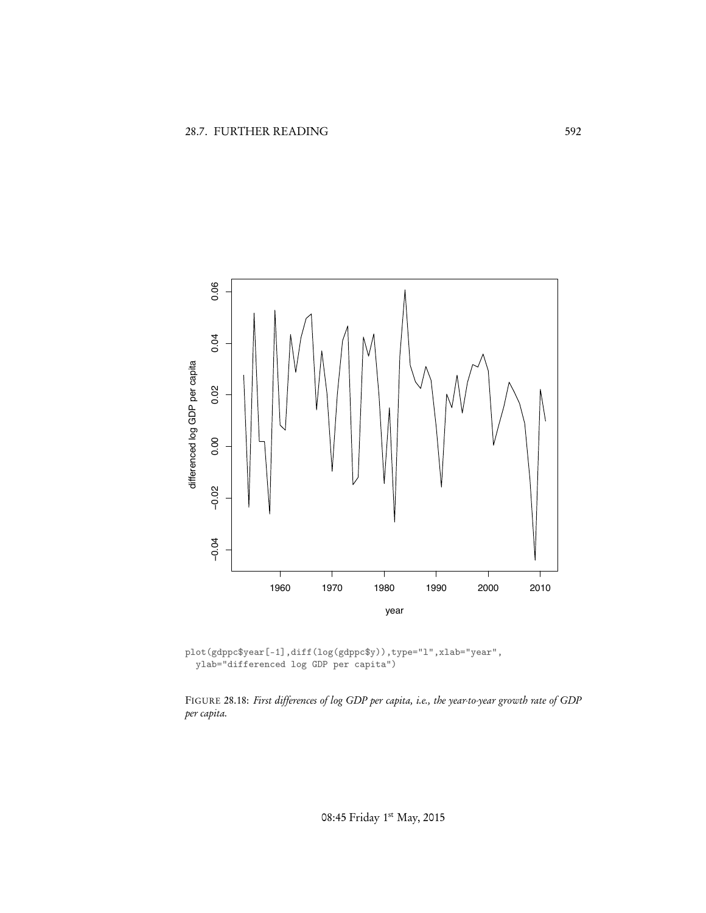

plot(gdppc\$year[-1],diff(log(gdppc\$y)),type="l",xlab="year", ylab="differenced log GDP per capita")

FIGURE 28.18: *First differences of log GDP per capita, i.e., the year-to-year growth rate of GDP per capita.*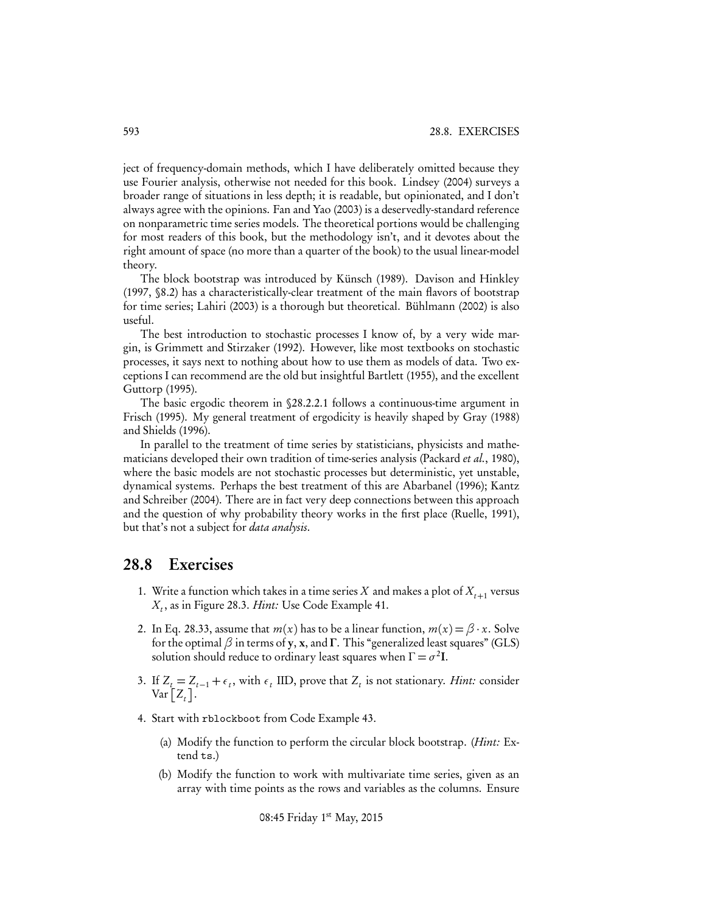ject of frequency-domain methods, which I have deliberately omitted because they use Fourier analysis, otherwise not needed for this book. Lindsey (2004) surveys a broader range of situations in less depth; it is readable, but opinionated, and I don't always agree with the opinions. Fan and Yao (2003) is a deservedly-standard reference on nonparametric time series models. The theoretical portions would be challenging for most readers of this book, but the methodology isn't, and it devotes about the right amount of space (no more than a quarter of the book) to the usual linear-model theory.

The block bootstrap was introduced by Künsch (1989). Davison and Hinkley (1997, §8.2) has a characteristically-clear treatment of the main flavors of bootstrap for time series; Lahiri (2003) is a thorough but theoretical. Bühlmann (2002) is also useful.

The best introduction to stochastic processes I know of, by a very wide margin, is Grimmett and Stirzaker (1992). However, like most textbooks on stochastic processes, it says next to nothing about how to use them as models of data. Two exceptions I can recommend are the old but insightful Bartlett (1955), and the excellent Guttorp (1995).

The basic ergodic theorem in §28.2.2.1 follows a continuous-time argument in Frisch (1995). My general treatment of ergodicity is heavily shaped by Gray (1988) and Shields (1996).

In parallel to the treatment of time series by statisticians, physicists and mathematicians developed their own tradition of time-series analysis (Packard *et al.*, 1980), where the basic models are not stochastic processes but deterministic, yet unstable, dynamical systems. Perhaps the best treatment of this are Abarbanel (1996); Kantz and Schreiber (2004). There are in fact very deep connections between this approach and the question of why probability theory works in the first place (Ruelle, 1991), but that's not a subject for *data analysis*.

# 28.8 Exercises

- 1. Write a function which takes in a time series X and makes a plot of  $X_{t+1}$  versus *Xt* , as in Figure 28.3. *Hint:* Use Code Example 41.
- 2. In Eq. 28.33, assume that  $m(x)$  has to be a linear function,  $m(x) = \beta \cdot x$ . Solve for the optimal  $\beta$  in terms of y, x, and  $\Gamma$ . This "generalized least squares" (GLS) solution should reduce to ordinary least squares when  $\Gamma = \sigma^2 I$ .
- 3. If  $Z_t = Z_{t-1} + \epsilon_t$ , with  $\epsilon_t$  IID, prove that  $Z_t$  is not stationary. *Hint:* consider  $\text{Var}\big[\text{$Z_t$}\big].$
- 4. Start with rblockboot from Code Example 43.
	- (a) Modify the function to perform the circular block bootstrap. (*Hint:* Extend ts.)
	- (b) Modify the function to work with multivariate time series, given as an array with time points as the rows and variables as the columns. Ensure